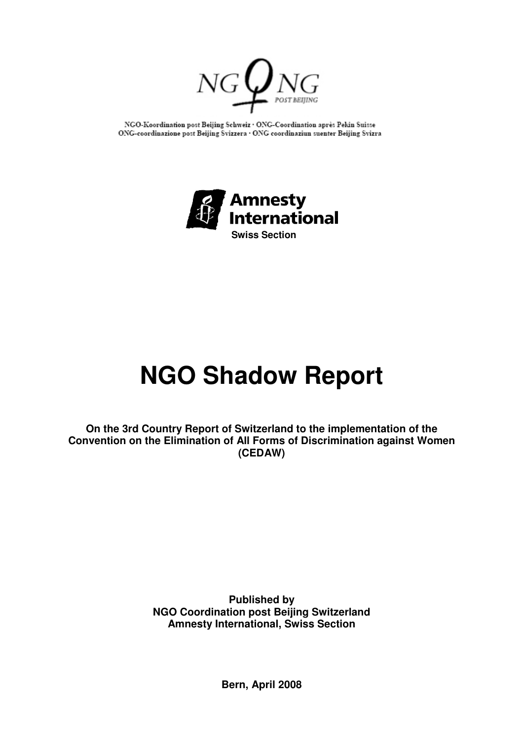

NGO-Koordination post Beijing Schweiz . ONG-Coordination après Pekin Suisse ONG-coordinazione post Beijing Svizzera · ONG coordinaziun suenter Beijing Svizra



# **NGO Shadow Report**

**On the 3rd Country Report of Switzerland to the implementation of the Convention on the Elimination of All Forms of Discrimination against Women (CEDAW)**

> **Published by NGO Coordination post Beijing Switzerland Amnesty International, Swiss Section**

> > **Bern, April 2008**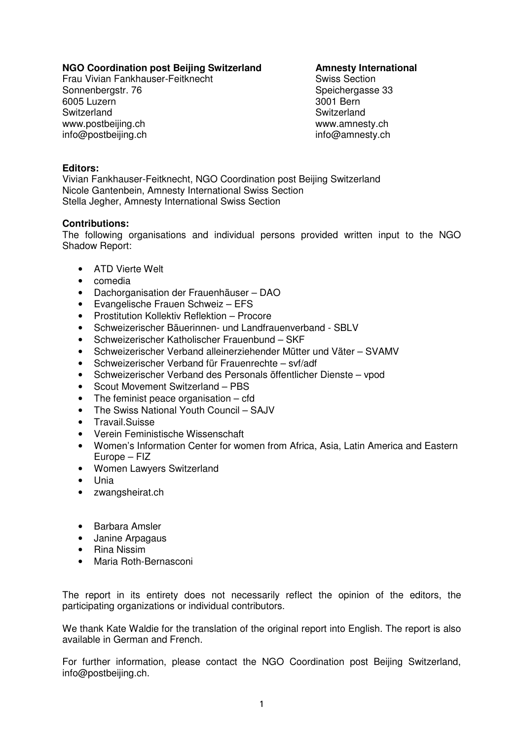# **NGO Coordination post Beijing Switzerland Amnesty International**

Frau Vivian Fankhauser-Feitknecht Swiss Section Sonnenbergstr. 76 Speichergasse 33 6005 Luzern 3001 Bern Switzerland Switzerland Switzerland Switzerland Switzerland Switzerland Switzerland Switzerland Switzerland Switzerland Switzerland Switzerland Switzerland Switzerland Switzerland Switzerland Switzerland Switzerland Switze www.postbeijing.ch example www.amnesty.ch www.amnesty.ch info@postbeijing.ch info@amnesty.ch

### **Editors:**

Vivian Fankhauser-Feitknecht, NGO Coordination post Beijing Switzerland Nicole Gantenbein, Amnesty International Swiss Section Stella Jegher, Amnesty International Swiss Section

#### **Contributions:**

The following organisations and individual persons provided written input to the NGO Shadow Report:

- ATD Vierte Welt
- comedia
- Dachorganisation der Frauenhäuser DAO
- Evangelische Frauen Schweiz EFS
- Prostitution Kollektiv Reflektion Procore
- Schweizerischer Bäuerinnen- und Landfrauenverband SBLV
- Schweizerischer Katholischer Frauenbund SKF
- Schweizerischer Verband alleinerziehender Mütter und Väter SVAMV
- Schweizerischer Verband für Frauenrechte svf/adf
- Schweizerischer Verband des Personals öffentlicher Dienste vpod
- Scout Movement Switzerland PBS
- The feminist peace organisation cfd
- The Swiss National Youth Council SAJV
- Travail.Suisse
- Verein Feministische Wissenschaft
- Women's Information Center for women from Africa, Asia, Latin America and Eastern Europe – FIZ
- Women Lawyers Switzerland
- Unia
- zwangsheirat.ch
- Barbara Amsler
- Janine Arpagaus
- Rina Nissim
- Maria Roth-Bernasconi

The report in its entirety does not necessarily reflect the opinion of the editors, the participating organizations or individual contributors.

We thank Kate Waldie for the translation of the original report into English. The report is also available in German and French.

For further information, please contact the NGO Coordination post Beijing Switzerland, info@postbeijing.ch.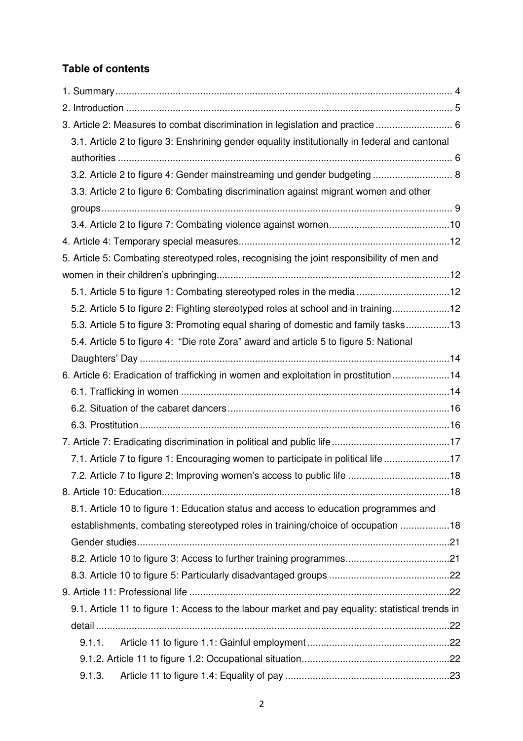# **Table of contents**

| 3. Article 2: Measures to combat discrimination in legislation and practice  6                   |  |
|--------------------------------------------------------------------------------------------------|--|
| 3.1. Article 2 to figure 3: Enshrining gender equality institutionally in federal and cantonal   |  |
|                                                                                                  |  |
| 3.2. Article 2 to figure 4: Gender mainstreaming und gender budgeting  8                         |  |
| 3.3. Article 2 to figure 6: Combating discrimination against migrant women and other             |  |
|                                                                                                  |  |
|                                                                                                  |  |
|                                                                                                  |  |
| 5. Article 5: Combating stereotyped roles, recognising the joint responsibility of men and       |  |
|                                                                                                  |  |
| 5.1. Article 5 to figure 1: Combating stereotyped roles in the media12                           |  |
| 5.2. Article 5 to figure 2: Fighting stereotyped roles at school and in training12               |  |
| 5.3. Article 5 to figure 3: Promoting equal sharing of domestic and family tasks13               |  |
| 5.4. Article 5 to figure 4: "Die rote Zora" award and article 5 to figure 5: National            |  |
|                                                                                                  |  |
| 6. Article 6: Eradication of trafficking in women and exploitation in prostitution14             |  |
|                                                                                                  |  |
|                                                                                                  |  |
|                                                                                                  |  |
|                                                                                                  |  |
| 7.1. Article 7 to figure 1: Encouraging women to participate in political life 17                |  |
|                                                                                                  |  |
|                                                                                                  |  |
| 8.1. Article 10 to figure 1: Education status and access to education programmes and             |  |
| establishments, combating stereotyped roles in training/choice of occupation 18                  |  |
|                                                                                                  |  |
|                                                                                                  |  |
|                                                                                                  |  |
|                                                                                                  |  |
| 9.1. Article 11 to figure 1: Access to the labour market and pay equality: statistical trends in |  |
|                                                                                                  |  |
| 9.1.1.                                                                                           |  |
|                                                                                                  |  |
| 9.1.3.                                                                                           |  |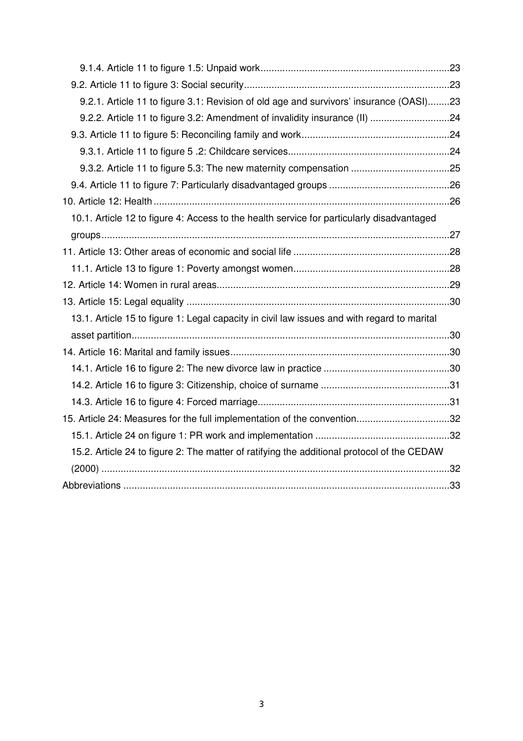| 9.2.1. Article 11 to figure 3.1: Revision of old age and survivors' insurance (OASI)23      |  |
|---------------------------------------------------------------------------------------------|--|
| 9.2.2. Article 11 to figure 3.2: Amendment of invalidity insurance (II) 24                  |  |
|                                                                                             |  |
|                                                                                             |  |
|                                                                                             |  |
|                                                                                             |  |
|                                                                                             |  |
| 10.1. Article 12 to figure 4: Access to the health service for particularly disadvantaged   |  |
|                                                                                             |  |
|                                                                                             |  |
|                                                                                             |  |
|                                                                                             |  |
|                                                                                             |  |
| 13.1. Article 15 to figure 1: Legal capacity in civil law issues and with regard to marital |  |
|                                                                                             |  |
|                                                                                             |  |
|                                                                                             |  |
|                                                                                             |  |
|                                                                                             |  |
| 15. Article 24: Measures for the full implementation of the convention32                    |  |
|                                                                                             |  |
| 15.2. Article 24 to figure 2: The matter of ratifying the additional protocol of the CEDAW  |  |
|                                                                                             |  |
|                                                                                             |  |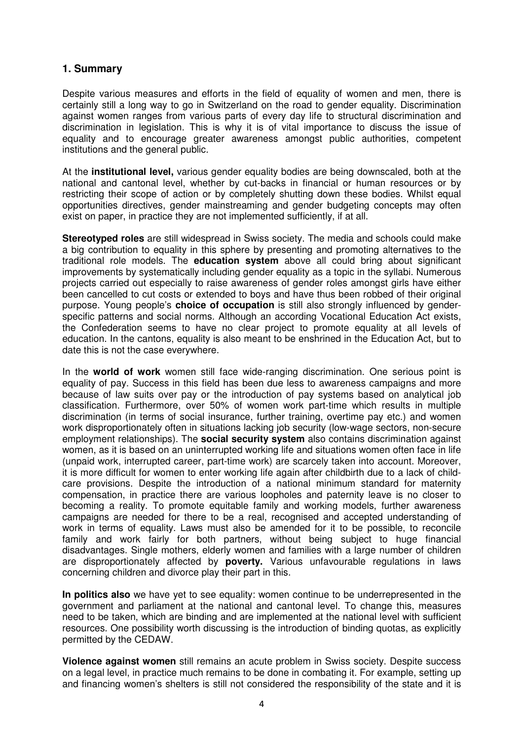# **1. Summary**

Despite various measures and efforts in the field of equality of women and men, there is certainly still a long way to go in Switzerland on the road to gender equality. Discrimination against women ranges from various parts of every day life to structural discrimination and discrimination in legislation. This is why it is of vital importance to discuss the issue of equality and to encourage greater awareness amongst public authorities, competent institutions and the general public.

At the **institutional level,** various gender equality bodies are being downscaled, both at the national and cantonal level, whether by cut-backs in financial or human resources or by restricting their scope of action or by completely shutting down these bodies. Whilst equal opportunities directives, gender mainstreaming and gender budgeting concepts may often exist on paper, in practice they are not implemented sufficiently, if at all.

**Stereotyped roles** are still widespread in Swiss society. The media and schools could make a big contribution to equality in this sphere by presenting and promoting alternatives to the traditional role models. The **education system** above all could bring about significant improvements by systematically including gender equality as a topic in the syllabi. Numerous projects carried out especially to raise awareness of gender roles amongst girls have either been cancelled to cut costs or extended to boys and have thus been robbed of their original purpose. Young people's **choice of occupation** is still also strongly influenced by genderspecific patterns and social norms. Although an according Vocational Education Act exists, the Confederation seems to have no clear project to promote equality at all levels of education. In the cantons, equality is also meant to be enshrined in the Education Act, but to date this is not the case everywhere.

In the **world of work** women still face wide-ranging discrimination. One serious point is equality of pay. Success in this field has been due less to awareness campaigns and more because of law suits over pay or the introduction of pay systems based on analytical job classification. Furthermore, over 50% of women work part-time which results in multiple discrimination (in terms of social insurance, further training, overtime pay etc.) and women work disproportionately often in situations lacking job security (low-wage sectors, non-secure employment relationships). The **social security system** also contains discrimination against women, as it is based on an uninterrupted working life and situations women often face in life (unpaid work, interrupted career, part-time work) are scarcely taken into account. Moreover, it is more difficult for women to enter working life again after childbirth due to a lack of childcare provisions. Despite the introduction of a national minimum standard for maternity compensation, in practice there are various loopholes and paternity leave is no closer to becoming a reality. To promote equitable family and working models, further awareness campaigns are needed for there to be a real, recognised and accepted understanding of work in terms of equality. Laws must also be amended for it to be possible, to reconcile family and work fairly for both partners, without being subject to huge financial disadvantages. Single mothers, elderly women and families with a large number of children are disproportionately affected by **poverty.** Various unfavourable regulations in laws concerning children and divorce play their part in this.

**In politics also** we have yet to see equality: women continue to be underrepresented in the government and parliament at the national and cantonal level. To change this, measures need to be taken, which are binding and are implemented at the national level with sufficient resources. One possibility worth discussing is the introduction of binding quotas, as explicitly permitted by the CEDAW.

**Violence against women** still remains an acute problem in Swiss society. Despite success on a legal level, in practice much remains to be done in combating it. For example, setting up and financing women's shelters is still not considered the responsibility of the state and it is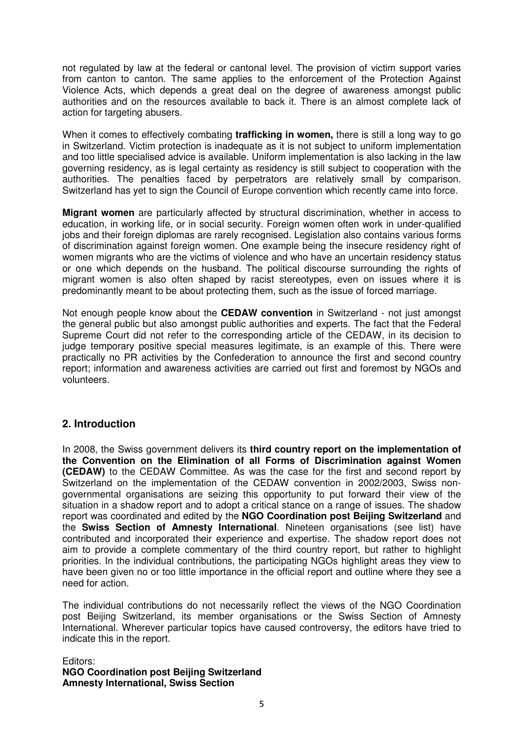not regulated by law at the federal or cantonal level. The provision of victim support varies from canton to canton. The same applies to the enforcement of the Protection Against Violence Acts, which depends a great deal on the degree of awareness amongst public authorities and on the resources available to back it. There is an almost complete lack of action for targeting abusers.

When it comes to effectively combating **trafficking in women,** there is still a long way to go in Switzerland. Victim protection is inadequate as it is not subject to uniform implementation and too little specialised advice is available. Uniform implementation is also lacking in the law governing residency, as is legal certainty as residency is still subject to cooperation with the authorities. The penalties faced by perpetrators are relatively small by comparison. Switzerland has yet to sign the Council of Europe convention which recently came into force.

**Migrant women** are particularly affected by structural discrimination, whether in access to education, in working life, or in social security. Foreign women often work in under-qualified jobs and their foreign diplomas are rarely recognised. Legislation also contains various forms of discrimination against foreign women. One example being the insecure residency right of women migrants who are the victims of violence and who have an uncertain residency status or one which depends on the husband. The political discourse surrounding the rights of migrant women is also often shaped by racist stereotypes, even on issues where it is predominantly meant to be about protecting them, such as the issue of forced marriage.

Not enough people know about the **CEDAW convention** in Switzerland - not just amongst the general public but also amongst public authorities and experts. The fact that the Federal Supreme Court did not refer to the corresponding article of the CEDAW, in its decision to judge temporary positive special measures legitimate, is an example of this. There were practically no PR activities by the Confederation to announce the first and second country report; information and awareness activities are carried out first and foremost by NGOs and volunteers.

# **2. Introduction**

In 2008, the Swiss government delivers its **third country report on the implementation of the Convention on the Elimination of all Forms of Discrimination against Women (CEDAW)** to the CEDAW Committee. As was the case for the first and second report by Switzerland on the implementation of the CEDAW convention in 2002/2003, Swiss nongovernmental organisations are seizing this opportunity to put forward their view of the situation in a shadow report and to adopt a critical stance on a range of issues. The shadow report was coordinated and edited by the **NGO Coordination post Beijing Switzerland** and the **Swiss Section of Amnesty International**. Nineteen organisations (see list) have contributed and incorporated their experience and expertise. The shadow report does not aim to provide a complete commentary of the third country report, but rather to highlight priorities. In the individual contributions, the participating NGOs highlight areas they view to have been given no or too little importance in the official report and outline where they see a need for action.

The individual contributions do not necessarily reflect the views of the NGO Coordination post Beijing Switzerland, its member organisations or the Swiss Section of Amnesty International. Wherever particular topics have caused controversy, the editors have tried to indicate this in the report.

Editors: **NGO Coordination post Beijing Switzerland Amnesty International, Swiss Section**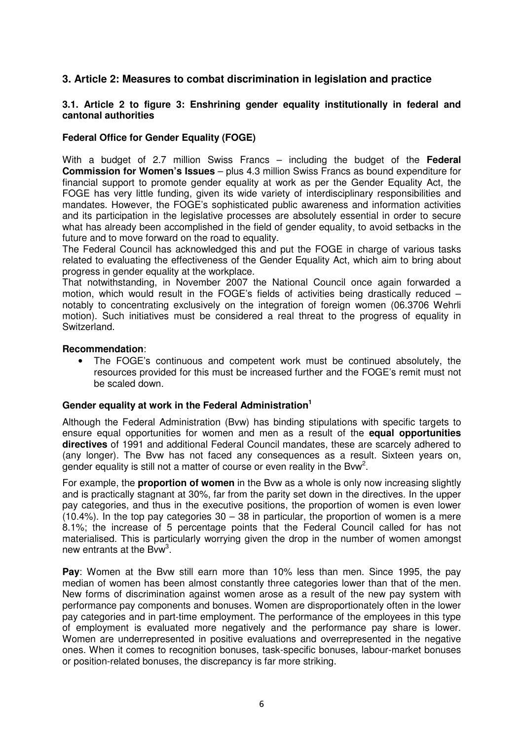# **3. Article 2: Measures to combat discrimination in legislation and practice**

#### **3.1. Article 2 to figure 3: Enshrining gender equality institutionally in federal and cantonal authorities**

#### **Federal Office for Gender Equality (FOGE)**

With a budget of 2.7 million Swiss Francs – including the budget of the **Federal Commission for Women's Issues** – plus 4.3 million Swiss Francs as bound expenditure for financial support to promote gender equality at work as per the Gender Equality Act, the FOGE has very little funding, given its wide variety of interdisciplinary responsibilities and mandates. However, the FOGE's sophisticated public awareness and information activities and its participation in the legislative processes are absolutely essential in order to secure what has already been accomplished in the field of gender equality, to avoid setbacks in the future and to move forward on the road to equality.

The Federal Council has acknowledged this and put the FOGE in charge of various tasks related to evaluating the effectiveness of the Gender Equality Act, which aim to bring about progress in gender equality at the workplace.

That notwithstanding, in November 2007 the National Council once again forwarded a motion, which would result in the FOGE's fields of activities being drastically reduced – notably to concentrating exclusively on the integration of foreign women (06.3706 Wehrli motion). Such initiatives must be considered a real threat to the progress of equality in Switzerland.

#### **Recommendation**:

• The FOGE's continuous and competent work must be continued absolutely, the resources provided for this must be increased further and the FOGE's remit must not be scaled down.

# **Gender equality at work in the Federal Administration1**

Although the Federal Administration (Bvw) has binding stipulations with specific targets to ensure equal opportunities for women and men as a result of the **equal opportunities directives** of 1991 and additional Federal Council mandates, these are scarcely adhered to (any longer). The Bvw has not faced any consequences as a result. Sixteen years on, gender equality is still not a matter of course or even reality in the Bvw<sup>2</sup>.

For example, the **proportion of women** in the Bvw as a whole is only now increasing slightly and is practically stagnant at 30%, far from the parity set down in the directives. In the upper pay categories, and thus in the executive positions, the proportion of women is even lower  $(10.4\%)$ . In the top pay categories  $30 - 38$  in particular, the proportion of women is a mere 8.1%; the increase of 5 percentage points that the Federal Council called for has not materialised. This is particularly worrying given the drop in the number of women amongst new entrants at the Bvw<sup>3</sup>.

**Pay**: Women at the Bvw still earn more than 10% less than men. Since 1995, the pay median of women has been almost constantly three categories lower than that of the men. New forms of discrimination against women arose as a result of the new pay system with performance pay components and bonuses. Women are disproportionately often in the lower pay categories and in part-time employment. The performance of the employees in this type of employment is evaluated more negatively and the performance pay share is lower. Women are underrepresented in positive evaluations and overrepresented in the negative ones. When it comes to recognition bonuses, task-specific bonuses, labour-market bonuses or position-related bonuses, the discrepancy is far more striking.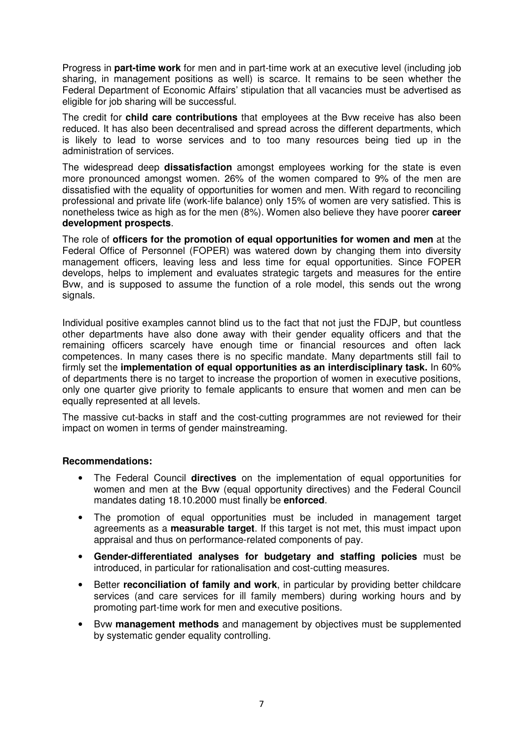Progress in **part-time work** for men and in part-time work at an executive level (including job sharing, in management positions as well) is scarce. It remains to be seen whether the Federal Department of Economic Affairs' stipulation that all vacancies must be advertised as eligible for job sharing will be successful.

The credit for **child care contributions** that employees at the Bvw receive has also been reduced. It has also been decentralised and spread across the different departments, which is likely to lead to worse services and to too many resources being tied up in the administration of services.

The widespread deep **dissatisfaction** amongst employees working for the state is even more pronounced amongst women. 26% of the women compared to 9% of the men are dissatisfied with the equality of opportunities for women and men. With regard to reconciling professional and private life (work-life balance) only 15% of women are very satisfied. This is nonetheless twice as high as for the men (8%). Women also believe they have poorer **career development prospects**.

The role of **officers for the promotion of equal opportunities for women and men** at the Federal Office of Personnel (FOPER) was watered down by changing them into diversity management officers, leaving less and less time for equal opportunities. Since FOPER develops, helps to implement and evaluates strategic targets and measures for the entire Bvw, and is supposed to assume the function of a role model, this sends out the wrong signals.

Individual positive examples cannot blind us to the fact that not just the FDJP, but countless other departments have also done away with their gender equality officers and that the remaining officers scarcely have enough time or financial resources and often lack competences. In many cases there is no specific mandate. Many departments still fail to firmly set the **implementation of equal opportunities as an interdisciplinary task.** In 60% of departments there is no target to increase the proportion of women in executive positions, only one quarter give priority to female applicants to ensure that women and men can be equally represented at all levels.

The massive cut-backs in staff and the cost-cutting programmes are not reviewed for their impact on women in terms of gender mainstreaming.

#### **Recommendations:**

- The Federal Council **directives** on the implementation of equal opportunities for women and men at the Bvw (equal opportunity directives) and the Federal Council mandates dating 18.10.2000 must finally be **enforced**.
- The promotion of equal opportunities must be included in management target agreements as a **measurable target**. If this target is not met, this must impact upon appraisal and thus on performance-related components of pay.
- **Gender-differentiated analyses for budgetary and staffing policies** must be introduced, in particular for rationalisation and cost-cutting measures.
- Better **reconciliation of family and work**, in particular by providing better childcare services (and care services for ill family members) during working hours and by promoting part-time work for men and executive positions.
- Bvw **management methods** and management by objectives must be supplemented by systematic gender equality controlling.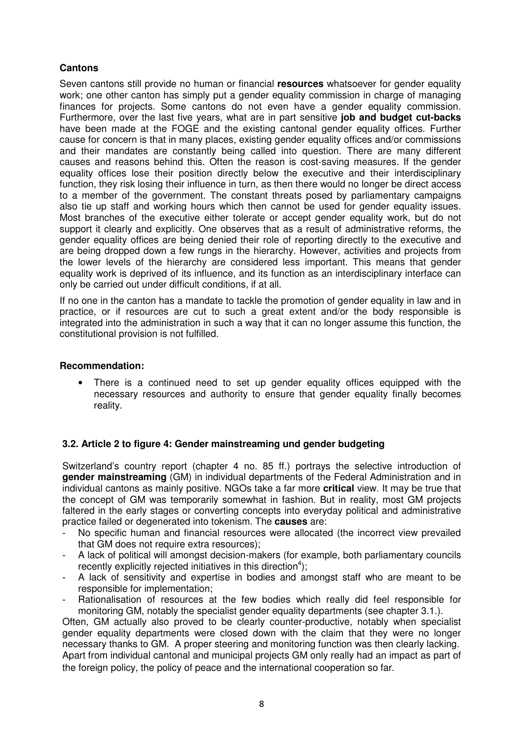# **Cantons**

Seven cantons still provide no human or financial **resources** whatsoever for gender equality work; one other canton has simply put a gender equality commission in charge of managing finances for projects. Some cantons do not even have a gender equality commission. Furthermore, over the last five years, what are in part sensitive **job and budget cut-backs** have been made at the FOGE and the existing cantonal gender equality offices. Further cause for concern is that in many places, existing gender equality offices and/or commissions and their mandates are constantly being called into question. There are many different causes and reasons behind this. Often the reason is cost-saving measures. If the gender equality offices lose their position directly below the executive and their interdisciplinary function, they risk losing their influence in turn, as then there would no longer be direct access to a member of the government. The constant threats posed by parliamentary campaigns also tie up staff and working hours which then cannot be used for gender equality issues. Most branches of the executive either tolerate or accept gender equality work, but do not support it clearly and explicitly. One observes that as a result of administrative reforms, the gender equality offices are being denied their role of reporting directly to the executive and are being dropped down a few rungs in the hierarchy. However, activities and projects from the lower levels of the hierarchy are considered less important. This means that gender equality work is deprived of its influence, and its function as an interdisciplinary interface can only be carried out under difficult conditions, if at all.

If no one in the canton has a mandate to tackle the promotion of gender equality in law and in practice, or if resources are cut to such a great extent and/or the body responsible is integrated into the administration in such a way that it can no longer assume this function, the constitutional provision is not fulfilled.

#### **Recommendation:**

• There is a continued need to set up gender equality offices equipped with the necessary resources and authority to ensure that gender equality finally becomes reality.

#### **3.2. Article 2 to figure 4: Gender mainstreaming und gender budgeting**

Switzerland's country report (chapter 4 no. 85 ff.) portrays the selective introduction of **gender mainstreaming** (GM) in individual departments of the Federal Administration and in individual cantons as mainly positive. NGOs take a far more **critical** view. It may be true that the concept of GM was temporarily somewhat in fashion. But in reality, most GM projects faltered in the early stages or converting concepts into everyday political and administrative practice failed or degenerated into tokenism. The **causes** are:

- No specific human and financial resources were allocated (the incorrect view prevailed that GM does not require extra resources);
- A lack of political will amongst decision-makers (for example, both parliamentary councils recently explicitly rejected initiatives in this direction<sup>4</sup>);
- A lack of sensitivity and expertise in bodies and amongst staff who are meant to be responsible for implementation;
- Rationalisation of resources at the few bodies which really did feel responsible for monitoring GM, notably the specialist gender equality departments (see chapter 3.1.).

Often, GM actually also proved to be clearly counter-productive, notably when specialist gender equality departments were closed down with the claim that they were no longer necessary thanks to GM. A proper steering and monitoring function was then clearly lacking. Apart from individual cantonal and municipal projects GM only really had an impact as part of the foreign policy, the policy of peace and the international cooperation so far.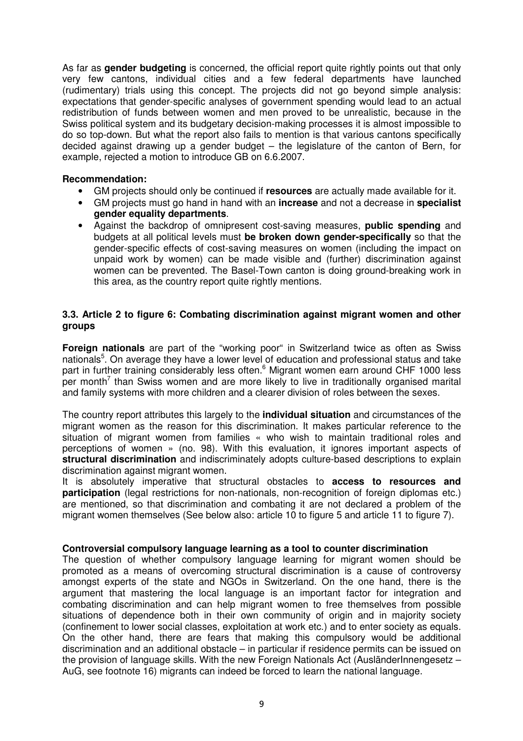As far as **gender budgeting** is concerned, the official report quite rightly points out that only very few cantons, individual cities and a few federal departments have launched (rudimentary) trials using this concept. The projects did not go beyond simple analysis: expectations that gender-specific analyses of government spending would lead to an actual redistribution of funds between women and men proved to be unrealistic, because in the Swiss political system and its budgetary decision-making processes it is almost impossible to do so top-down. But what the report also fails to mention is that various cantons specifically decided against drawing up a gender budget – the legislature of the canton of Bern, for example, rejected a motion to introduce GB on 6.6.2007.

#### **Recommendation:**

- GM projects should only be continued if **resources** are actually made available for it.
- GM projects must go hand in hand with an **increase** and not a decrease in **specialist gender equality departments**.
- Against the backdrop of omnipresent cost-saving measures, **public spending** and budgets at all political levels must **be broken down gender-specifically** so that the gender-specific effects of cost-saving measures on women (including the impact on unpaid work by women) can be made visible and (further) discrimination against women can be prevented. The Basel-Town canton is doing ground-breaking work in this area, as the country report quite rightly mentions.

#### **3.3. Article 2 to figure 6: Combating discrimination against migrant women and other groups**

**Foreign nationals** are part of the "working poor" in Switzerland twice as often as Swiss nationals<sup>5</sup>. On average they have a lower level of education and professional status and take part in further training considerably less often. <sup>6</sup> Migrant women earn around CHF 1000 less per month<sup>7</sup> than Swiss women and are more likely to live in traditionally organised marital and family systems with more children and a clearer division of roles between the sexes.

The country report attributes this largely to the **individual situation** and circumstances of the migrant women as the reason for this discrimination. It makes particular reference to the situation of migrant women from families « who wish to maintain traditional roles and perceptions of women » (no. 98). With this evaluation, it ignores important aspects of **structural discrimination** and indiscriminately adopts culture-based descriptions to explain discrimination against migrant women.

It is absolutely imperative that structural obstacles to **access to resources and participation** (legal restrictions for non-nationals, non-recognition of foreign diplomas etc.) are mentioned, so that discrimination and combating it are not declared a problem of the migrant women themselves (See below also: article 10 to figure 5 and article 11 to figure 7).

#### **Controversial compulsory language learning as a tool to counter discrimination**

The question of whether compulsory language learning for migrant women should be promoted as a means of overcoming structural discrimination is a cause of controversy amongst experts of the state and NGOs in Switzerland. On the one hand, there is the argument that mastering the local language is an important factor for integration and combating discrimination and can help migrant women to free themselves from possible situations of dependence both in their own community of origin and in majority society (confinement to lower social classes, exploitation at work etc.) and to enter society as equals. On the other hand, there are fears that making this compulsory would be additional discrimination and an additional obstacle – in particular if residence permits can be issued on the provision of language skills. With the new Foreign Nationals Act (AusländerInnengesetz – AuG, see footnote 16) migrants can indeed be forced to learn the national language.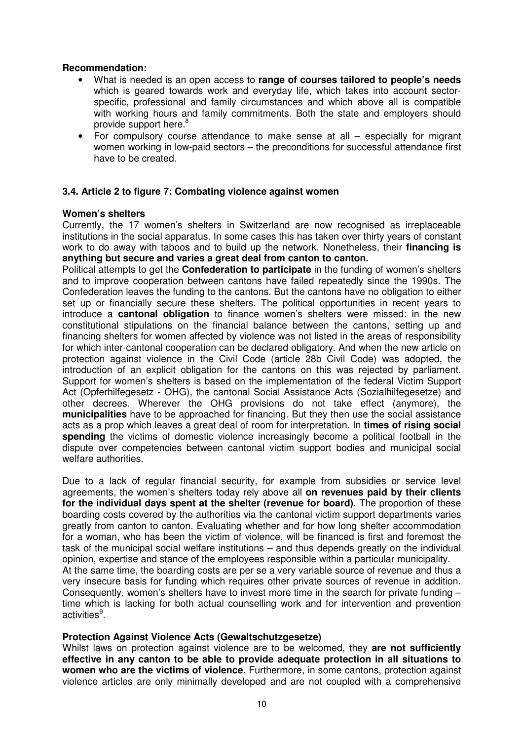#### **Recommendation:**

- What is needed is an open access to **range of courses tailored to people's needs** which is geared towards work and everyday life, which takes into account sectorspecific, professional and family circumstances and which above all is compatible with working hours and family commitments. Both the state and employers should provide support here.<sup>8</sup>
- For compulsory course attendance to make sense at all especially for migrant women working in low-paid sectors – the preconditions for successful attendance first have to be created.

#### **3.4. Article 2 to figure 7: Combating violence against women**

#### **Women's shelters**

Currently, the 17 women's shelters in Switzerland are now recognised as irreplaceable institutions in the social apparatus. In some cases this has taken over thirty years of constant work to do away with taboos and to build up the network. Nonetheless, their **financing is anything but secure and varies a great deal from canton to canton.**

Political attempts to get the **Confederation to participate** in the funding of women's shelters and to improve cooperation between cantons have failed repeatedly since the 1990s. The Confederation leaves the funding to the cantons. But the cantons have no obligation to either set up or financially secure these shelters. The political opportunities in recent years to introduce a **cantonal obligation** to finance women's shelters were missed: in the new constitutional stipulations on the financial balance between the cantons, setting up and financing shelters for women affected by violence was not listed in the areas of responsibility for which inter-cantonal cooperation can be declared obligatory. And when the new article on protection against violence in the Civil Code (article 28b Civil Code) was adopted, the introduction of an explicit obligation for the cantons on this was rejected by parliament. Support for women's shelters is based on the implementation of the federal Victim Support Act (Opferhilfegesetz - OHG), the cantonal Social Assistance Acts (Sozialhilfegesetze) and other decrees. Wherever the OHG provisions do not take effect (anymore), the **municipalities** have to be approached for financing. But they then use the social assistance acts as a prop which leaves a great deal of room for interpretation. In **times of rising social spending** the victims of domestic violence increasingly become a political football in the dispute over competencies between cantonal victim support bodies and municipal social welfare authorities.

Due to a lack of regular financial security, for example from subsidies or service level agreements, the women's shelters today rely above all **on revenues paid by their clients for the individual days spent at the shelter (revenue for board)**. The proportion of these boarding costs covered by the authorities via the cantonal victim support departments varies greatly from canton to canton. Evaluating whether and for how long shelter accommodation for a woman, who has been the victim of violence, will be financed is first and foremost the task of the municipal social welfare institutions – and thus depends greatly on the individual opinion, expertise and stance of the employees responsible within a particular municipality. At the same time, the boarding costs are per se a very variable source of revenue and thus a very insecure basis for funding which requires other private sources of revenue in addition. Consequently, women's shelters have to invest more time in the search for private funding – time which is lacking for both actual counselling work and for intervention and prevention activities<sup>9</sup>.

#### **Protection Against Violence Acts (Gewaltschutzgesetze)**

Whilst laws on protection against violence are to be welcomed, they **are not sufficiently effective in any canton to be able to provide adequate protection in all situations to women who are the victims of violence.** Furthermore, in some cantons, protection against violence articles are only minimally developed and are not coupled with a comprehensive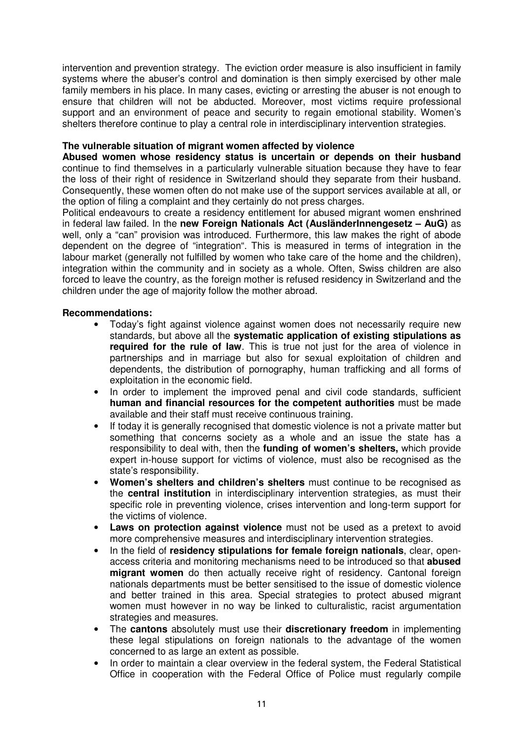intervention and prevention strategy. The eviction order measure is also insufficient in family systems where the abuser's control and domination is then simply exercised by other male family members in his place. In many cases, evicting or arresting the abuser is not enough to ensure that children will not be abducted. Moreover, most victims require professional support and an environment of peace and security to regain emotional stability. Women's shelters therefore continue to play a central role in interdisciplinary intervention strategies.

#### **The vulnerable situation of migrant women affected by violence**

**Abused women whose residency status is uncertain or depends on their husband** continue to find themselves in a particularly vulnerable situation because they have to fear the loss of their right of residence in Switzerland should they separate from their husband. Consequently, these women often do not make use of the support services available at all, or the option of filing a complaint and they certainly do not press charges.

Political endeavours to create a residency entitlement for abused migrant women enshrined in federal law failed. In the **new Foreign Nationals Act (AusländerInnengesetz – AuG)** as well, only a "can" provision was introduced. Furthermore, this law makes the right of abode dependent on the degree of "integration". This is measured in terms of integration in the labour market (generally not fulfilled by women who take care of the home and the children), integration within the community and in society as a whole. Often, Swiss children are also forced to leave the country, as the foreign mother is refused residency in Switzerland and the children under the age of majority follow the mother abroad.

#### **Recommendations:**

- Today's fight against violence against women does not necessarily require new standards, but above all the **systematic application of existing stipulations as required for the rule of law**. This is true not just for the area of violence in partnerships and in marriage but also for sexual exploitation of children and dependents, the distribution of pornography, human trafficking and all forms of exploitation in the economic field.
- In order to implement the improved penal and civil code standards, sufficient **human and financial resources for the competent authorities** must be made available and their staff must receive continuous training.
- If today it is generally recognised that domestic violence is not a private matter but something that concerns society as a whole and an issue the state has a responsibility to deal with, then the **funding of women's shelters,** which provide expert in-house support for victims of violence, must also be recognised as the state's responsibility.
- **Women's shelters and children's shelters** must continue to be recognised as the **central institution** in interdisciplinary intervention strategies, as must their specific role in preventing violence, crises intervention and long-term support for the victims of violence.
- **Laws on protection against violence** must not be used as a pretext to avoid more comprehensive measures and interdisciplinary intervention strategies.
- In the field of **residency stipulations for female foreign nationals**, clear, openaccess criteria and monitoring mechanisms need to be introduced so that **abused migrant women** do then actually receive right of residency. Cantonal foreign nationals departments must be better sensitised to the issue of domestic violence and better trained in this area. Special strategies to protect abused migrant women must however in no way be linked to culturalistic, racist argumentation strategies and measures.
- The **cantons** absolutely must use their **discretionary freedom** in implementing these legal stipulations on foreign nationals to the advantage of the women concerned to as large an extent as possible.
- In order to maintain a clear overview in the federal system, the Federal Statistical Office in cooperation with the Federal Office of Police must regularly compile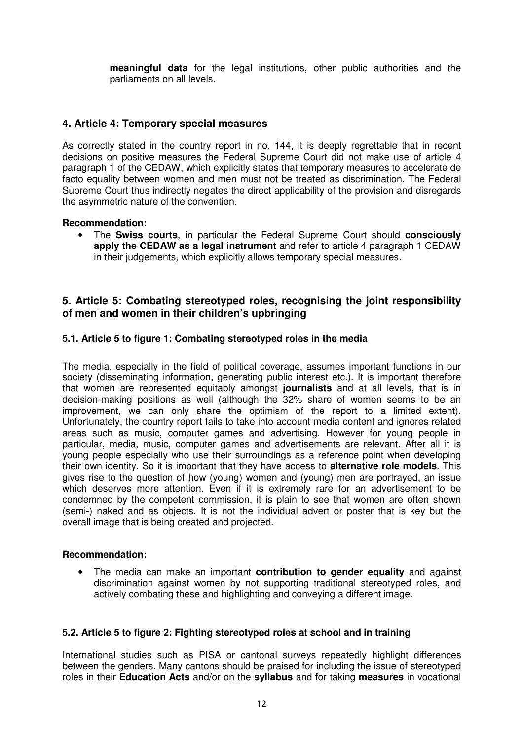**meaningful data** for the legal institutions, other public authorities and the parliaments on all levels.

# **4. Article 4: Temporary special measures**

As correctly stated in the country report in no. 144, it is deeply regrettable that in recent decisions on positive measures the Federal Supreme Court did not make use of article 4 paragraph 1 of the CEDAW, which explicitly states that temporary measures to accelerate de facto equality between women and men must not be treated as discrimination. The Federal Supreme Court thus indirectly negates the direct applicability of the provision and disregards the asymmetric nature of the convention.

#### **Recommendation:**

• The **Swiss courts**, in particular the Federal Supreme Court should **consciously apply the CEDAW as a legal instrument** and refer to article 4 paragraph 1 CEDAW in their judgements, which explicitly allows temporary special measures.

## **5. Article 5: Combating stereotyped roles, recognising the joint responsibility of men and women in their children's upbringing**

#### **5.1. Article 5 to figure 1: Combating stereotyped roles in the media**

The media, especially in the field of political coverage, assumes important functions in our society (disseminating information, generating public interest etc.). It is important therefore that women are represented equitably amongst **journalists** and at all levels, that is in decision-making positions as well (although the 32% share of women seems to be an improvement, we can only share the optimism of the report to a limited extent). Unfortunately, the country report fails to take into account media content and ignores related areas such as music, computer games and advertising. However for young people in particular, media, music, computer games and advertisements are relevant. After all it is young people especially who use their surroundings as a reference point when developing their own identity. So it is important that they have access to **alternative role models**. This gives rise to the question of how (young) women and (young) men are portrayed, an issue which deserves more attention. Even if it is extremely rare for an advertisement to be condemned by the competent commission, it is plain to see that women are often shown (semi-) naked and as objects. It is not the individual advert or poster that is key but the overall image that is being created and projected.

#### **Recommendation:**

• The media can make an important **contribution to gender equality** and against discrimination against women by not supporting traditional stereotyped roles, and actively combating these and highlighting and conveying a different image.

#### **5.2. Article 5 to figure 2: Fighting stereotyped roles at school and in training**

International studies such as PISA or cantonal surveys repeatedly highlight differences between the genders. Many cantons should be praised for including the issue of stereotyped roles in their **Education Acts** and/or on the **syllabus** and for taking **measures** in vocational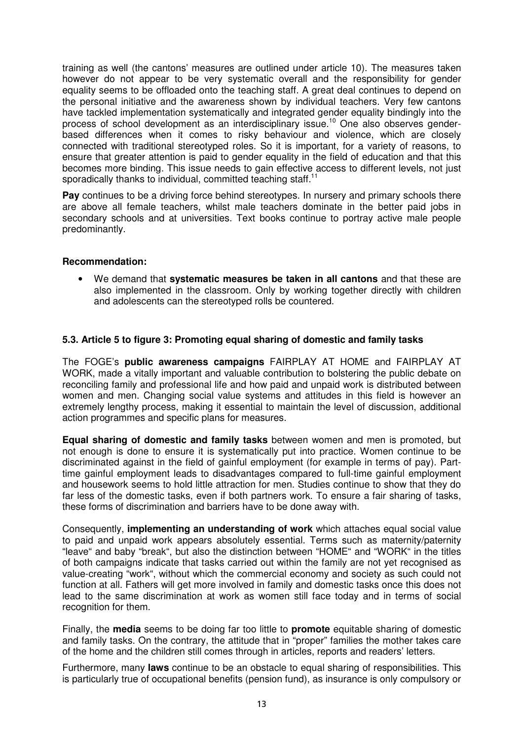training as well (the cantons' measures are outlined under article 10). The measures taken however do not appear to be very systematic overall and the responsibility for gender equality seems to be offloaded onto the teaching staff. A great deal continues to depend on the personal initiative and the awareness shown by individual teachers. Very few cantons have tackled implementation systematically and integrated gender equality bindingly into the process of school development as an interdisciplinary issue.<sup>10</sup> One also observes genderbased differences when it comes to risky behaviour and violence, which are closely connected with traditional stereotyped roles. So it is important, for a variety of reasons, to ensure that greater attention is paid to gender equality in the field of education and that this becomes more binding. This issue needs to gain effective access to different levels, not just sporadically thanks to individual, committed teaching staff.<sup>11</sup>

**Pay** continues to be a driving force behind stereotypes. In nursery and primary schools there are above all female teachers, whilst male teachers dominate in the better paid jobs in secondary schools and at universities. Text books continue to portray active male people predominantly.

## **Recommendation:**

• We demand that **systematic measures be taken in all cantons** and that these are also implemented in the classroom. Only by working together directly with children and adolescents can the stereotyped rolls be countered.

# **5.3. Article 5 to figure 3: Promoting equal sharing of domestic and family tasks**

The FOGE's **public awareness campaigns** FAIRPLAY AT HOME and FAIRPLAY AT WORK, made a vitally important and valuable contribution to bolstering the public debate on reconciling family and professional life and how paid and unpaid work is distributed between women and men. Changing social value systems and attitudes in this field is however an extremely lengthy process, making it essential to maintain the level of discussion, additional action programmes and specific plans for measures.

**Equal sharing of domestic and family tasks** between women and men is promoted, but not enough is done to ensure it is systematically put into practice. Women continue to be discriminated against in the field of gainful employment (for example in terms of pay). Parttime gainful employment leads to disadvantages compared to full-time gainful employment and housework seems to hold little attraction for men. Studies continue to show that they do far less of the domestic tasks, even if both partners work. To ensure a fair sharing of tasks, these forms of discrimination and barriers have to be done away with.

Consequently, **implementing an understanding of work** which attaches equal social value to paid and unpaid work appears absolutely essential. Terms such as maternity/paternity "leave" and baby "break", but also the distinction between "HOME" and "WORK" in the titles of both campaigns indicate that tasks carried out within the family are not yet recognised as value-creating "work", without which the commercial economy and society as such could not function at all. Fathers will get more involved in family and domestic tasks once this does not lead to the same discrimination at work as women still face today and in terms of social recognition for them.

Finally, the **media** seems to be doing far too little to **promote** equitable sharing of domestic and family tasks. On the contrary, the attitude that in "proper" families the mother takes care of the home and the children still comes through in articles, reports and readers' letters.

Furthermore, many **laws** continue to be an obstacle to equal sharing of responsibilities. This is particularly true of occupational benefits (pension fund), as insurance is only compulsory or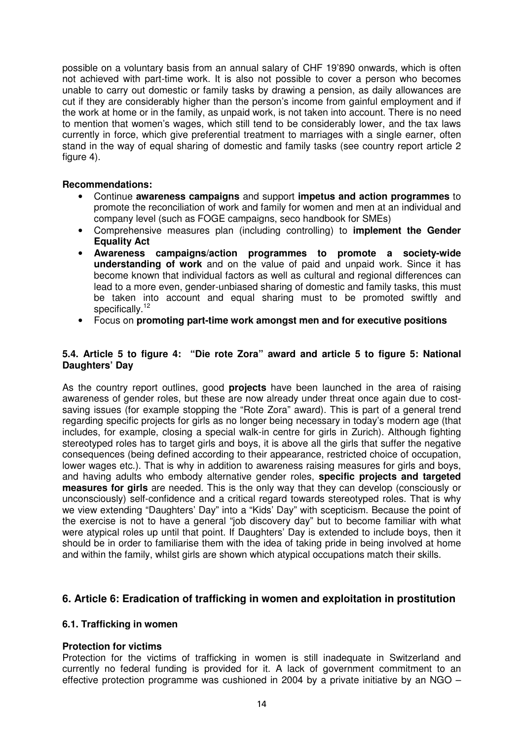possible on a voluntary basis from an annual salary of CHF 19'890 onwards, which is often not achieved with part-time work. It is also not possible to cover a person who becomes unable to carry out domestic or family tasks by drawing a pension, as daily allowances are cut if they are considerably higher than the person's income from gainful employment and if the work at home or in the family, as unpaid work, is not taken into account. There is no need to mention that women's wages, which still tend to be considerably lower, and the tax laws currently in force, which give preferential treatment to marriages with a single earner, often stand in the way of equal sharing of domestic and family tasks (see country report article 2 figure 4).

### **Recommendations:**

- Continue **awareness campaigns** and support **impetus and action programmes** to promote the reconciliation of work and family for women and men at an individual and company level (such as FOGE campaigns, seco handbook for SMEs)
- Comprehensive measures plan (including controlling) to **implement the Gender Equality Act**
- **Awareness campaigns/action programmes to promote a society-wide understanding of work** and on the value of paid and unpaid work. Since it has become known that individual factors as well as cultural and regional differences can lead to a more even, gender-unbiased sharing of domestic and family tasks, this must be taken into account and equal sharing must to be promoted swiftly and specifically.<sup>12</sup>
- Focus on **promoting part-time work amongst men and for executive positions**

### **5.4. Article 5 to figure 4: "Die rote Zora" award and article 5 to figure 5: National Daughters' Day**

As the country report outlines, good **projects** have been launched in the area of raising awareness of gender roles, but these are now already under threat once again due to costsaving issues (for example stopping the "Rote Zora" award). This is part of a general trend regarding specific projects for girls as no longer being necessary in today's modern age (that includes, for example, closing a special walk-in centre for girls in Zurich). Although fighting stereotyped roles has to target girls and boys, it is above all the girls that suffer the negative consequences (being defined according to their appearance, restricted choice of occupation, lower wages etc.). That is why in addition to awareness raising measures for girls and boys, and having adults who embody alternative gender roles, **specific projects and targeted measures for girls** are needed. This is the only way that they can develop (consciously or unconsciously) self-confidence and a critical regard towards stereotyped roles. That is why we view extending "Daughters' Day" into a "Kids' Day" with scepticism. Because the point of the exercise is not to have a general "job discovery day" but to become familiar with what were atypical roles up until that point. If Daughters' Day is extended to include boys, then it should be in order to familiarise them with the idea of taking pride in being involved at home and within the family, whilst girls are shown which atypical occupations match their skills.

# **6. Article 6: Eradication of trafficking in women and exploitation in prostitution**

#### **6.1. Trafficking in women**

#### **Protection for victims**

Protection for the victims of trafficking in women is still inadequate in Switzerland and currently no federal funding is provided for it. A lack of government commitment to an effective protection programme was cushioned in 2004 by a private initiative by an NGO –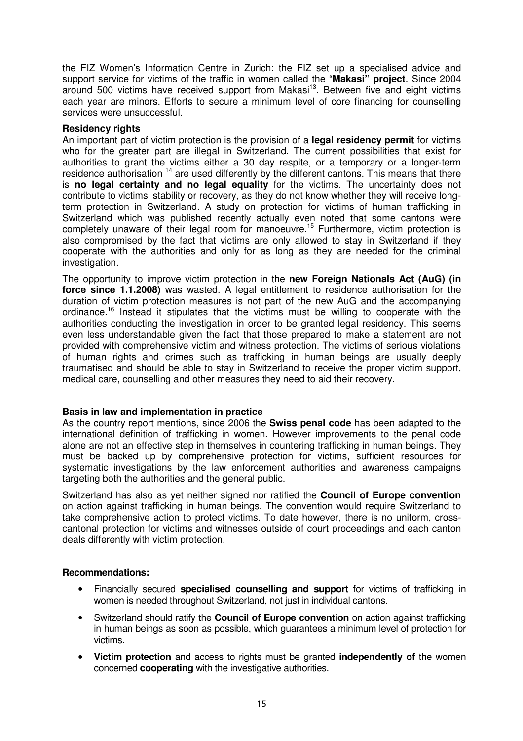the FIZ Women's Information Centre in Zurich: the FIZ set up a specialised advice and support service for victims of the traffic in women called the "**Makasi" project**. Since 2004 around 500 victims have received support from Makasi<sup>13</sup>. Between five and eight victims each year are minors. Efforts to secure a minimum level of core financing for counselling services were unsuccessful.

#### **Residency rights**

An important part of victim protection is the provision of a **legal residency permit** for victims who for the greater part are illegal in Switzerland. The current possibilities that exist for authorities to grant the victims either a 30 day respite, or a temporary or a longer-term residence authorisation <sup>14</sup> are used differently by the different cantons. This means that there is **no legal certainty and no legal equality** for the victims. The uncertainty does not contribute to victims' stability or recovery, as they do not know whether they will receive longterm protection in Switzerland. A study on protection for victims of human trafficking in Switzerland which was published recently actually even noted that some cantons were completely unaware of their legal room for manoeuvre. <sup>15</sup> Furthermore, victim protection is also compromised by the fact that victims are only allowed to stay in Switzerland if they cooperate with the authorities and only for as long as they are needed for the criminal investigation.

The opportunity to improve victim protection in the **new Foreign Nationals Act (AuG) (in force since 1.1.2008)** was wasted. A legal entitlement to residence authorisation for the duration of victim protection measures is not part of the new AuG and the accompanying ordinance.<sup>16</sup> Instead it stipulates that the victims must be willing to cooperate with the authorities conducting the investigation in order to be granted legal residency. This seems even less understandable given the fact that those prepared to make a statement are not provided with comprehensive victim and witness protection. The victims of serious violations of human rights and crimes such as trafficking in human beings are usually deeply traumatised and should be able to stay in Switzerland to receive the proper victim support, medical care, counselling and other measures they need to aid their recovery.

#### **Basis in law and implementation in practice**

As the country report mentions, since 2006 the **Swiss penal code** has been adapted to the international definition of trafficking in women. However improvements to the penal code alone are not an effective step in themselves in countering trafficking in human beings. They must be backed up by comprehensive protection for victims, sufficient resources for systematic investigations by the law enforcement authorities and awareness campaigns targeting both the authorities and the general public.

Switzerland has also as yet neither signed nor ratified the **Council of Europe convention** on action against trafficking in human beings. The convention would require Switzerland to take comprehensive action to protect victims. To date however, there is no uniform, crosscantonal protection for victims and witnesses outside of court proceedings and each canton deals differently with victim protection.

#### **Recommendations:**

- Financially secured **specialised counselling and support** for victims of trafficking in women is needed throughout Switzerland, not just in individual cantons.
- Switzerland should ratify the **Council of Europe convention** on action against trafficking in human beings as soon as possible, which guarantees a minimum level of protection for victims.
- **Victim protection** and access to rights must be granted **independently of** the women concerned **cooperating** with the investigative authorities.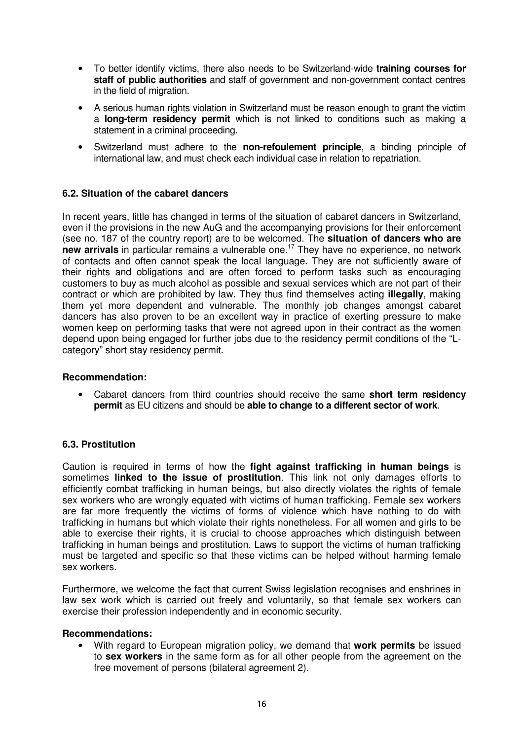- To better identify victims, there also needs to be Switzerland-wide **training courses for staff of public authorities** and staff of government and non-government contact centres in the field of migration.
- A serious human rights violation in Switzerland must be reason enough to grant the victim a **long-term residency permit** which is not linked to conditions such as making a statement in a criminal proceeding.
- Switzerland must adhere to the **non-refoulement principle**, a binding principle of international law, and must check each individual case in relation to repatriation.

## **6.2. Situation of the cabaret dancers**

In recent years, little has changed in terms of the situation of cabaret dancers in Switzerland, even if the provisions in the new AuG and the accompanying provisions for their enforcement (see no. 187 of the country report) are to be welcomed. The **situation of dancers who are new arrivals** in particular remains a vulnerable one. <sup>17</sup> They have no experience, no network of contacts and often cannot speak the local language. They are not sufficiently aware of their rights and obligations and are often forced to perform tasks such as encouraging customers to buy as much alcohol as possible and sexual services which are not part of their contract or which are prohibited by law. They thus find themselves acting **illegally**, making them yet more dependent and vulnerable. The monthly job changes amongst cabaret dancers has also proven to be an excellent way in practice of exerting pressure to make women keep on performing tasks that were not agreed upon in their contract as the women depend upon being engaged for further jobs due to the residency permit conditions of the "Lcategory" short stay residency permit.

#### **Recommendation:**

• Cabaret dancers from third countries should receive the same **short term residency permit** as EU citizens and should be **able to change to a different sector of work**.

#### **6.3. Prostitution**

Caution is required in terms of how the **fight against trafficking in human beings** is sometimes **linked to the issue of prostitution**. This link not only damages efforts to efficiently combat trafficking in human beings, but also directly violates the rights of female sex workers who are wrongly equated with victims of human trafficking. Female sex workers are far more frequently the victims of forms of violence which have nothing to do with trafficking in humans but which violate their rights nonetheless. For all women and girls to be able to exercise their rights, it is crucial to choose approaches which distinguish between trafficking in human beings and prostitution. Laws to support the victims of human trafficking must be targeted and specific so that these victims can be helped without harming female sex workers.

Furthermore, we welcome the fact that current Swiss legislation recognises and enshrines in law sex work which is carried out freely and voluntarily, so that female sex workers can exercise their profession independently and in economic security.

#### **Recommendations:**

• With regard to European migration policy, we demand that **work permits** be issued to **sex workers** in the same form as for all other people from the agreement on the free movement of persons (bilateral agreement 2).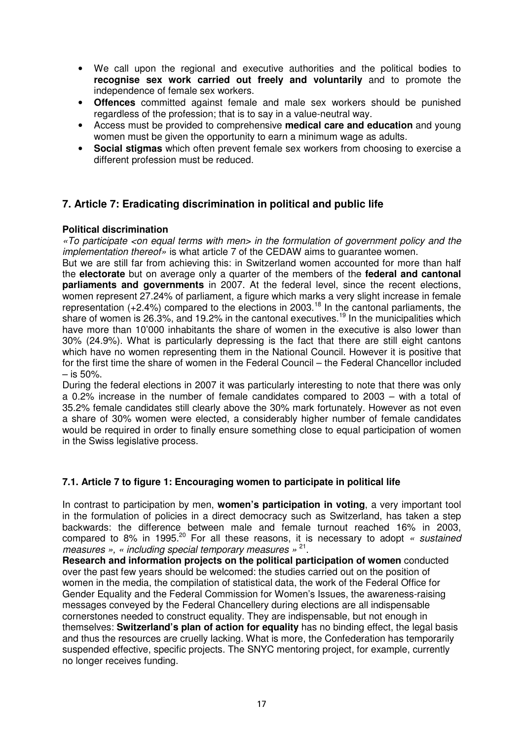- We call upon the regional and executive authorities and the political bodies to **recognise sex work carried out freely and voluntarily** and to promote the independence of female sex workers.
- **Offences** committed against female and male sex workers should be punished regardless of the profession; that is to say in a value-neutral way.
- Access must be provided to comprehensive **medical care and education** and young women must be given the opportunity to earn a minimum wage as adults.
- **Social stigmas** which often prevent female sex workers from choosing to exercise a different profession must be reduced.

# **7. Article 7: Eradicating discrimination in political and public life**

## **Political discrimination**

«To participate <on equal terms with men> in the formulation of government policy and the implementation thereof» is what article 7 of the CEDAW aims to guarantee women.

But we are still far from achieving this: in Switzerland women accounted for more than half the **electorate** but on average only a quarter of the members of the **federal and cantonal parliaments and governments** in 2007. At the federal level, since the recent elections, women represent 27.24% of parliament, a figure which marks a very slight increase in female representation  $(+2.4%)$  compared to the elections in 2003.<sup>18</sup> In the cantonal parliaments, the share of women is 26.3%, and 19.2% in the cantonal executives.<sup>19</sup> In the municipalities which have more than 10'000 inhabitants the share of women in the executive is also lower than 30% (24.9%). What is particularly depressing is the fact that there are still eight cantons which have no women representing them in the National Council. However it is positive that for the first time the share of women in the Federal Council – the Federal Chancellor included  $-$  is 50%.

During the federal elections in 2007 it was particularly interesting to note that there was only a 0.2% increase in the number of female candidates compared to 2003 – with a total of 35.2% female candidates still clearly above the 30% mark fortunately. However as not even a share of 30% women were elected, a considerably higher number of female candidates would be required in order to finally ensure something close to equal participation of women in the Swiss legislative process.

# **7.1. Article 7 to figure 1: Encouraging women to participate in political life**

In contrast to participation by men, **women's participation in voting**, a very important tool in the formulation of policies in a direct democracy such as Switzerland, has taken a step backwards: the difference between male and female turnout reached 16% in 2003, compared to 8% in 1995.<sup>20</sup> For all these reasons, it is necessary to adopt « sustained measures », « including special temporary measures » <sup>21</sup>.

**Research and information projects on the political participation of women** conducted over the past few years should be welcomed: the studies carried out on the position of women in the media, the compilation of statistical data, the work of the Federal Office for Gender Equality and the Federal Commission for Women's Issues, the awareness-raising messages conveyed by the Federal Chancellery during elections are all indispensable cornerstones needed to construct equality. They are indispensable, but not enough in themselves: **Switzerland's plan of action for equality** has no binding effect, the legal basis and thus the resources are cruelly lacking. What is more, the Confederation has temporarily suspended effective, specific projects. The SNYC mentoring project, for example, currently no longer receives funding.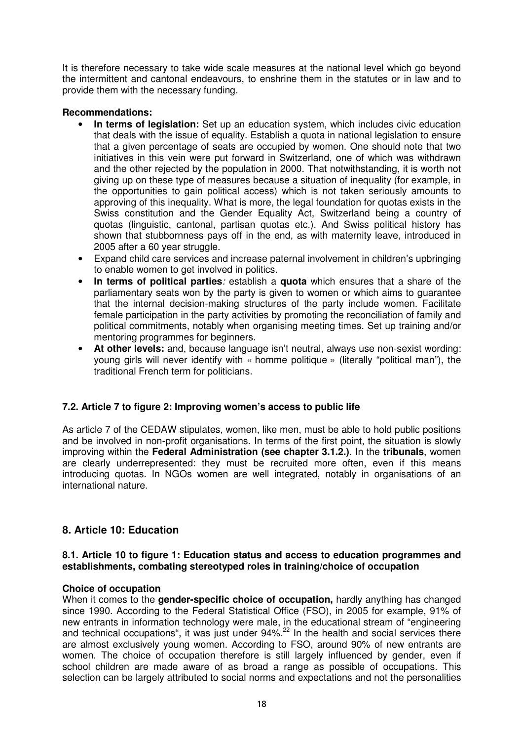It is therefore necessary to take wide scale measures at the national level which go beyond the intermittent and cantonal endeavours, to enshrine them in the statutes or in law and to provide them with the necessary funding.

#### **Recommendations:**

- **In terms of legislation:** Set up an education system, which includes civic education that deals with the issue of equality. Establish a quota in national legislation to ensure that a given percentage of seats are occupied by women. One should note that two initiatives in this vein were put forward in Switzerland, one of which was withdrawn and the other rejected by the population in 2000. That notwithstanding, it is worth not giving up on these type of measures because a situation of inequality (for example, in the opportunities to gain political access) which is not taken seriously amounts to approving of this inequality. What is more, the legal foundation for quotas exists in the Swiss constitution and the Gender Equality Act, Switzerland being a country of quotas (linguistic, cantonal, partisan quotas etc.). And Swiss political history has shown that stubbornness pays off in the end, as with maternity leave, introduced in 2005 after a 60 year struggle.
- Expand child care services and increase paternal involvement in children's upbringing to enable women to get involved in politics.
- **In terms of political parties**: establish a **quota** which ensures that a share of the parliamentary seats won by the party is given to women or which aims to guarantee that the internal decision-making structures of the party include women. Facilitate female participation in the party activities by promoting the reconciliation of family and political commitments, notably when organising meeting times. Set up training and/or mentoring programmes for beginners.
- **At other levels:** and, because language isn't neutral, always use non-sexist wording: young girls will never identify with « homme politique » (literally "political man"), the traditional French term for politicians.

# **7.2. Article 7 to figure 2: Improving women's access to public life**

As article 7 of the CEDAW stipulates, women, like men, must be able to hold public positions and be involved in non-profit organisations. In terms of the first point, the situation is slowly improving within the **Federal Administration (see chapter 3.1.2.)**. In the **tribunals**, women are clearly underrepresented: they must be recruited more often, even if this means introducing quotas. In NGOs women are well integrated, notably in organisations of an international nature.

# **8. Article 10: Education**

#### **8.1. Article 10 to figure 1: Education status and access to education programmes and establishments, combating stereotyped roles in training/choice of occupation**

#### **Choice of occupation**

When it comes to the **gender-specific choice of occupation,** hardly anything has changed since 1990. According to the Federal Statistical Office (FSO), in 2005 for example, 91% of new entrants in information technology were male, in the educational stream of "engineering and technical occupations", it was just under 94%.<sup>22</sup> In the health and social services there are almost exclusively young women. According to FSO, around 90% of new entrants are women. The choice of occupation therefore is still largely influenced by gender, even if school children are made aware of as broad a range as possible of occupations. This selection can be largely attributed to social norms and expectations and not the personalities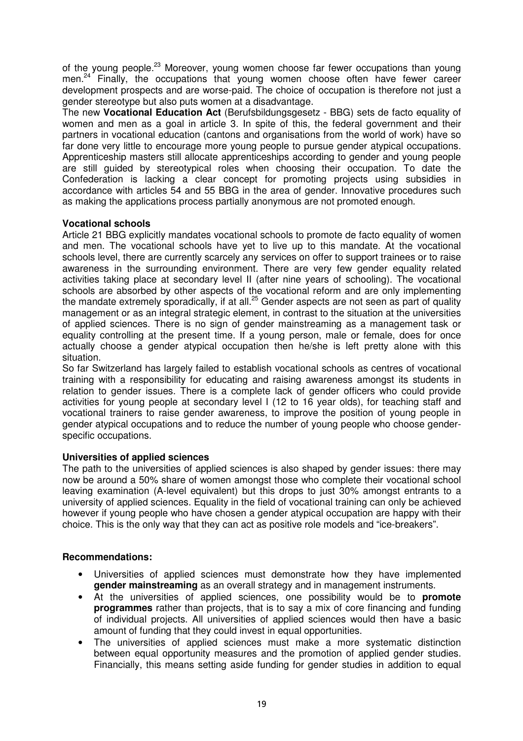of the young people.<sup>23</sup> Moreover, young women choose far fewer occupations than young men.<sup>24</sup> Finally, the occupations that young women choose often have fewer career development prospects and are worse-paid. The choice of occupation is therefore not just a gender stereotype but also puts women at a disadvantage.

The new **Vocational Education Act** (Berufsbildungsgesetz - BBG) sets de facto equality of women and men as a goal in article 3. In spite of this, the federal government and their partners in vocational education (cantons and organisations from the world of work) have so far done very little to encourage more young people to pursue gender atypical occupations. Apprenticeship masters still allocate apprenticeships according to gender and young people are still guided by stereotypical roles when choosing their occupation. To date the Confederation is lacking a clear concept for promoting projects using subsidies in accordance with articles 54 and 55 BBG in the area of gender. Innovative procedures such as making the applications process partially anonymous are not promoted enough.

# **Vocational schools**

Article 21 BBG explicitly mandates vocational schools to promote de facto equality of women and men. The vocational schools have yet to live up to this mandate. At the vocational schools level, there are currently scarcely any services on offer to support trainees or to raise awareness in the surrounding environment. There are very few gender equality related activities taking place at secondary level II (after nine years of schooling). The vocational schools are absorbed by other aspects of the vocational reform and are only implementing the mandate extremely sporadically, if at all.<sup>25</sup> Gender aspects are not seen as part of quality management or as an integral strategic element, in contrast to the situation at the universities of applied sciences. There is no sign of gender mainstreaming as a management task or equality controlling at the present time. If a young person, male or female, does for once actually choose a gender atypical occupation then he/she is left pretty alone with this situation.

So far Switzerland has largely failed to establish vocational schools as centres of vocational training with a responsibility for educating and raising awareness amongst its students in relation to gender issues. There is a complete lack of gender officers who could provide activities for young people at secondary level I (12 to 16 year olds), for teaching staff and vocational trainers to raise gender awareness, to improve the position of young people in gender atypical occupations and to reduce the number of young people who choose genderspecific occupations.

# **Universities of applied sciences**

The path to the universities of applied sciences is also shaped by gender issues: there may now be around a 50% share of women amongst those who complete their vocational school leaving examination (A-level equivalent) but this drops to just 30% amongst entrants to a university of applied sciences. Equality in the field of vocational training can only be achieved however if young people who have chosen a gender atypical occupation are happy with their choice. This is the only way that they can act as positive role models and "ice-breakers".

#### **Recommendations:**

- Universities of applied sciences must demonstrate how they have implemented **gender mainstreaming** as an overall strategy and in management instruments.
- At the universities of applied sciences, one possibility would be to **promote programmes** rather than projects, that is to say a mix of core financing and funding of individual projects. All universities of applied sciences would then have a basic amount of funding that they could invest in equal opportunities.
- The universities of applied sciences must make a more systematic distinction between equal opportunity measures and the promotion of applied gender studies. Financially, this means setting aside funding for gender studies in addition to equal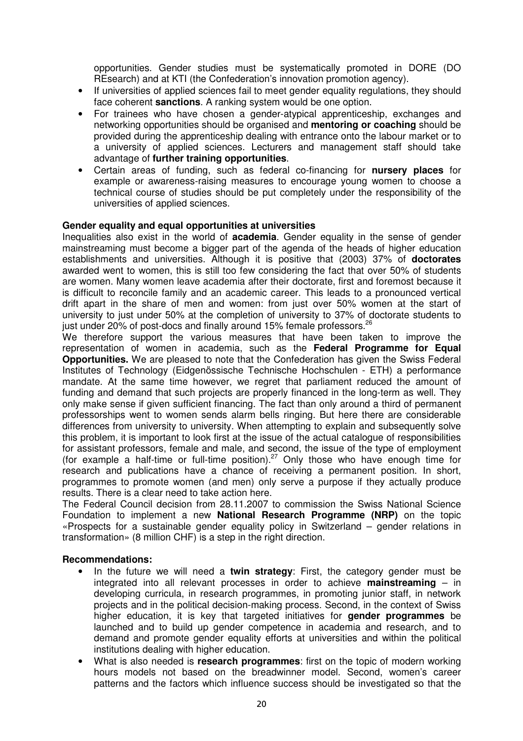opportunities. Gender studies must be systematically promoted in DORE (DO REsearch) and at KTI (the Confederation's innovation promotion agency).

- If universities of applied sciences fail to meet gender equality regulations, they should face coherent **sanctions**. A ranking system would be one option.
- For trainees who have chosen a gender-atypical apprenticeship, exchanges and networking opportunities should be organised and **mentoring or coaching** should be provided during the apprenticeship dealing with entrance onto the labour market or to a university of applied sciences. Lecturers and management staff should take advantage of **further training opportunities**.
- Certain areas of funding, such as federal co-financing for **nursery places** for example or awareness-raising measures to encourage young women to choose a technical course of studies should be put completely under the responsibility of the universities of applied sciences.

#### **Gender equality and equal opportunities at universities**

Inequalities also exist in the world of **academia**. Gender equality in the sense of gender mainstreaming must become a bigger part of the agenda of the heads of higher education establishments and universities. Although it is positive that (2003) 37% of **doctorates** awarded went to women, this is still too few considering the fact that over 50% of students are women. Many women leave academia after their doctorate, first and foremost because it is difficult to reconcile family and an academic career. This leads to a pronounced vertical drift apart in the share of men and women: from just over 50% women at the start of university to just under 50% at the completion of university to 37% of doctorate students to just under 20% of post-docs and finally around 15% female professors.<sup>26</sup>

We therefore support the various measures that have been taken to improve the representation of women in academia, such as the **Federal Programme for Equal Opportunities.** We are pleased to note that the Confederation has given the Swiss Federal Institutes of Technology (Eidgenössische Technische Hochschulen - ETH) a performance mandate. At the same time however, we regret that parliament reduced the amount of funding and demand that such projects are properly financed in the long-term as well. They only make sense if given sufficient financing. The fact than only around a third of permanent professorships went to women sends alarm bells ringing. But here there are considerable differences from university to university. When attempting to explain and subsequently solve this problem, it is important to look first at the issue of the actual catalogue of responsibilities for assistant professors, female and male, and second, the issue of the type of employment (for example a half-time or full-time position).<sup>27</sup> Only those who have enough time for research and publications have a chance of receiving a permanent position. In short, programmes to promote women (and men) only serve a purpose if they actually produce results. There is a clear need to take action here.

The Federal Council decision from 28.11.2007 to commission the Swiss National Science Foundation to implement a new **National Research Programme (NRP)** on the topic «Prospects for a sustainable gender equality policy in Switzerland – gender relations in transformation» (8 million CHF) is a step in the right direction.

#### **Recommendations:**

- In the future we will need a **twin strategy**: First, the category gender must be integrated into all relevant processes in order to achieve **mainstreaming** – in developing curricula, in research programmes, in promoting junior staff, in network projects and in the political decision-making process. Second, in the context of Swiss higher education, it is key that targeted initiatives for **gender programmes** be launched and to build up gender competence in academia and research, and to demand and promote gender equality efforts at universities and within the political institutions dealing with higher education.
- What is also needed is **research programmes**: first on the topic of modern working hours models not based on the breadwinner model. Second, women's career patterns and the factors which influence success should be investigated so that the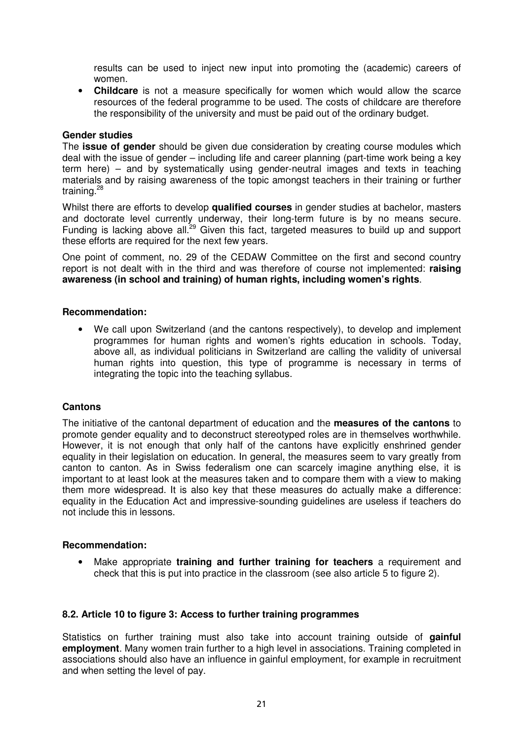results can be used to inject new input into promoting the (academic) careers of women.

• **Childcare** is not a measure specifically for women which would allow the scarce resources of the federal programme to be used. The costs of childcare are therefore the responsibility of the university and must be paid out of the ordinary budget.

#### **Gender studies**

The **issue of gender** should be given due consideration by creating course modules which deal with the issue of gender – including life and career planning (part-time work being a key term here) – and by systematically using gender-neutral images and texts in teaching materials and by raising awareness of the topic amongst teachers in their training or further training.<sup>28</sup>

Whilst there are efforts to develop **qualified courses** in gender studies at bachelor, masters and doctorate level currently underway, their long-term future is by no means secure. Funding is lacking above all.<sup>29</sup> Given this fact, targeted measures to build up and support these efforts are required for the next few years.

One point of comment, no. 29 of the CEDAW Committee on the first and second country report is not dealt with in the third and was therefore of course not implemented: **raising awareness (in school and training) of human rights, including women's rights**.

#### **Recommendation:**

• We call upon Switzerland (and the cantons respectively), to develop and implement programmes for human rights and women's rights education in schools. Today, above all, as individual politicians in Switzerland are calling the validity of universal human rights into question, this type of programme is necessary in terms of integrating the topic into the teaching syllabus.

#### **Cantons**

The initiative of the cantonal department of education and the **measures of the cantons** to promote gender equality and to deconstruct stereotyped roles are in themselves worthwhile. However, it is not enough that only half of the cantons have explicitly enshrined gender equality in their legislation on education. In general, the measures seem to vary greatly from canton to canton. As in Swiss federalism one can scarcely imagine anything else, it is important to at least look at the measures taken and to compare them with a view to making them more widespread. It is also key that these measures do actually make a difference: equality in the Education Act and impressive-sounding guidelines are useless if teachers do not include this in lessons.

#### **Recommendation:**

• Make appropriate **training and further training for teachers** a requirement and check that this is put into practice in the classroom (see also article 5 to figure 2).

#### **8.2. Article 10 to figure 3: Access to further training programmes**

Statistics on further training must also take into account training outside of **gainful employment**. Many women train further to a high level in associations. Training completed in associations should also have an influence in gainful employment, for example in recruitment and when setting the level of pay.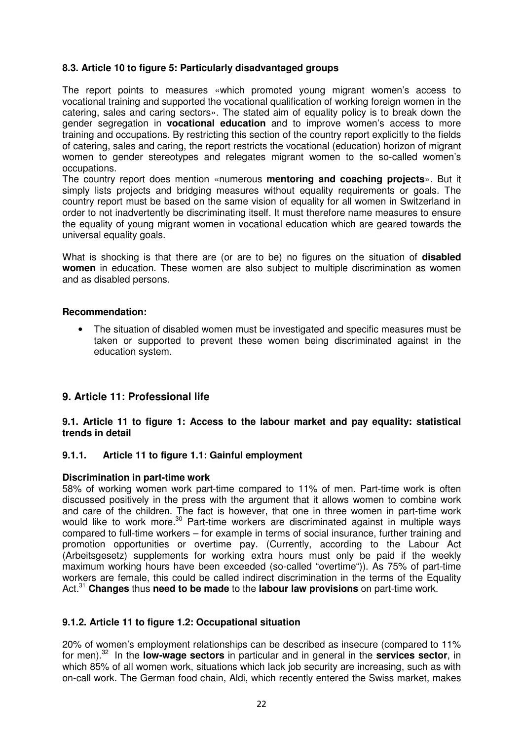# **8.3. Article 10 to figure 5: Particularly disadvantaged groups**

The report points to measures «which promoted young migrant women's access to vocational training and supported the vocational qualification of working foreign women in the catering, sales and caring sectors». The stated aim of equality policy is to break down the gender segregation in **vocational education** and to improve women's access to more training and occupations. By restricting this section of the country report explicitly to the fields of catering, sales and caring, the report restricts the vocational (education) horizon of migrant women to gender stereotypes and relegates migrant women to the so-called women's occupations.

The country report does mention «numerous **mentoring and coaching projects**». But it simply lists projects and bridging measures without equality requirements or goals. The country report must be based on the same vision of equality for all women in Switzerland in order to not inadvertently be discriminating itself. It must therefore name measures to ensure the equality of young migrant women in vocational education which are geared towards the universal equality goals.

What is shocking is that there are (or are to be) no figures on the situation of **disabled women** in education. These women are also subject to multiple discrimination as women and as disabled persons.

#### **Recommendation:**

The situation of disabled women must be investigated and specific measures must be taken or supported to prevent these women being discriminated against in the education system.

# **9. Article 11: Professional life**

**9.1. Article 11 to figure 1: Access to the labour market and pay equality: statistical trends in detail**

#### **9.1.1. Article 11 to figure 1.1: Gainful employment**

#### **Discrimination in part-time work**

58% of working women work part-time compared to 11% of men. Part-time work is often discussed positively in the press with the argument that it allows women to combine work and care of the children. The fact is however, that one in three women in part-time work would like to work more.<sup>30</sup> Part-time workers are discriminated against in multiple ways compared to full-time workers – for example in terms of social insurance, further training and promotion opportunities or overtime pay. (Currently, according to the Labour Act (Arbeitsgesetz) supplements for working extra hours must only be paid if the weekly maximum working hours have been exceeded (so-called "overtime")). As 75% of part-time workers are female, this could be called indirect discrimination in the terms of the Equality Act. <sup>31</sup> **Changes** thus **need to be made** to the **labour law provisions** on part-time work.

#### **9.1.2. Article 11 to figure 1.2: Occupational situation**

20% of women's employment relationships can be described as insecure (compared to 11% for men). <sup>32</sup> In the **low-wage sectors** in particular and in general in the **services sector**, in which 85% of all women work, situations which lack job security are increasing, such as with on-call work. The German food chain, Aldi, which recently entered the Swiss market, makes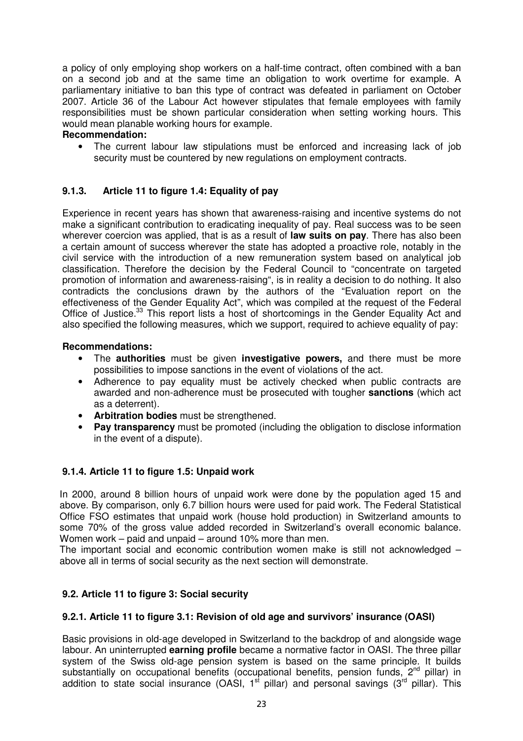a policy of only employing shop workers on a half-time contract, often combined with a ban on a second job and at the same time an obligation to work overtime for example. A parliamentary initiative to ban this type of contract was defeated in parliament on October 2007. Article 36 of the Labour Act however stipulates that female employees with family responsibilities must be shown particular consideration when setting working hours. This would mean planable working hours for example.

# **Recommendation:**

The current labour law stipulations must be enforced and increasing lack of job security must be countered by new regulations on employment contracts.

# **9.1.3. Article 11 to figure 1.4: Equality of pay**

Experience in recent years has shown that awareness-raising and incentive systems do not make a significant contribution to eradicating inequality of pay. Real success was to be seen wherever coercion was applied, that is as a result of **law suits on pay**. There has also been a certain amount of success wherever the state has adopted a proactive role, notably in the civil service with the introduction of a new remuneration system based on analytical job classification. Therefore the decision by the Federal Council to "concentrate on targeted promotion of information and awareness-raising", is in reality a decision to do nothing. It also contradicts the conclusions drawn by the authors of the "Evaluation report on the effectiveness of the Gender Equality Act", which was compiled at the request of the Federal Office of Justice.<sup>33</sup> This report lists a host of shortcomings in the Gender Equality Act and also specified the following measures, which we support, required to achieve equality of pay:

#### **Recommendations:**

- The **authorities** must be given **investigative powers,** and there must be more possibilities to impose sanctions in the event of violations of the act.
- Adherence to pay equality must be actively checked when public contracts are awarded and non-adherence must be prosecuted with tougher **sanctions** (which act as a deterrent).
- **Arbitration bodies** must be strengthened.
- **Pay transparency** must be promoted (including the obligation to disclose information in the event of a dispute).

# **9.1.4. Article 11 to figure 1.5: Unpaid work**

In 2000, around 8 billion hours of unpaid work were done by the population aged 15 and above. By comparison, only 6.7 billion hours were used for paid work. The Federal Statistical Office FSO estimates that unpaid work (house hold production) in Switzerland amounts to some 70% of the gross value added recorded in Switzerland's overall economic balance. Women work – paid and unpaid – around 10% more than men.

The important social and economic contribution women make is still not acknowledged  $$ above all in terms of social security as the next section will demonstrate.

# **9.2. Article 11 to figure 3: Social security**

#### **9.2.1. Article 11 to figure 3.1: Revision of old age and survivors' insurance (OASI)**

Basic provisions in old-age developed in Switzerland to the backdrop of and alongside wage labour. An uninterrupted **earning profile** became a normative factor in OASI. The three pillar system of the Swiss old-age pension system is based on the same principle. It builds substantially on occupational benefits (occupational benefits, pension funds, 2<sup>nd</sup> pillar) in addition to state social insurance (OASI,  $1<sup>st</sup>$  pillar) and personal savings ( $3<sup>rd</sup>$  pillar). This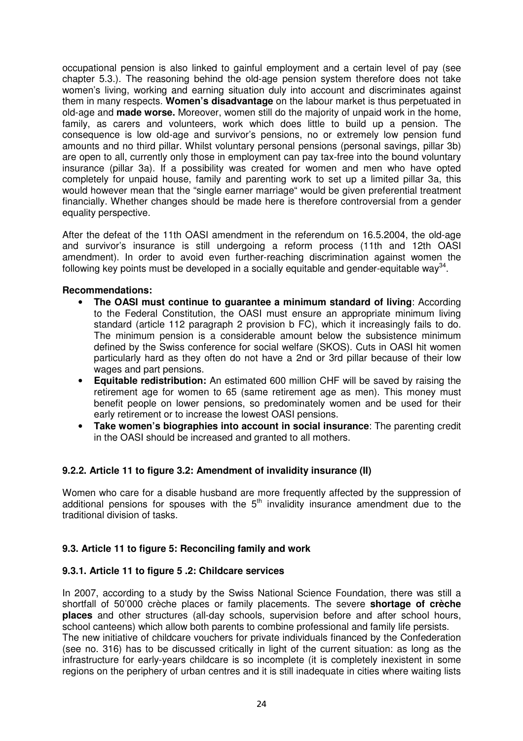occupational pension is also linked to gainful employment and a certain level of pay (see chapter 5.3.). The reasoning behind the old-age pension system therefore does not take women's living, working and earning situation duly into account and discriminates against them in many respects. **Women's disadvantage** on the labour market is thus perpetuated in old-age and **made worse.** Moreover, women still do the majority of unpaid work in the home, family, as carers and volunteers, work which does little to build up a pension. The consequence is low old-age and survivor's pensions, no or extremely low pension fund amounts and no third pillar. Whilst voluntary personal pensions (personal savings, pillar 3b) are open to all, currently only those in employment can pay tax-free into the bound voluntary insurance (pillar 3a). If a possibility was created for women and men who have opted completely for unpaid house, family and parenting work to set up a limited pillar 3a, this would however mean that the "single earner marriage" would be given preferential treatment financially. Whether changes should be made here is therefore controversial from a gender equality perspective.

After the defeat of the 11th OASI amendment in the referendum on 16.5.2004, the old-age and survivor's insurance is still undergoing a reform process (11th and 12th OASI amendment). In order to avoid even further-reaching discrimination against women the following key points must be developed in a socially equitable and gender-equitable way<sup>34</sup>.

## **Recommendations:**

- **The OASI must continue to guarantee a minimum standard of living**: According to the Federal Constitution, the OASI must ensure an appropriate minimum living standard (article 112 paragraph 2 provision b FC), which it increasingly fails to do. The minimum pension is a considerable amount below the subsistence minimum defined by the Swiss conference for social welfare (SKOS). Cuts in OASI hit women particularly hard as they often do not have a 2nd or 3rd pillar because of their low wages and part pensions.
- **Equitable redistribution:** An estimated 600 million CHF will be saved by raising the retirement age for women to 65 (same retirement age as men). This money must benefit people on lower pensions, so predominately women and be used for their early retirement or to increase the lowest OASI pensions.
- **Take women's biographies into account in social insurance**: The parenting credit in the OASI should be increased and granted to all mothers.

# **9.2.2. Article 11 to figure 3.2: Amendment of invalidity insurance (II)**

Women who care for a disable husband are more frequently affected by the suppression of additional pensions for spouses with the  $5<sup>th</sup>$  invalidity insurance amendment due to the traditional division of tasks.

# **9.3. Article 11 to figure 5: Reconciling family and work**

#### **9.3.1. Article 11 to figure 5 .2: Childcare services**

In 2007, according to a study by the Swiss National Science Foundation, there was still a shortfall of 50'000 crèche places or family placements. The severe **shortage of crèche places** and other structures (all-day schools, supervision before and after school hours, school canteens) which allow both parents to combine professional and family life persists. The new initiative of childcare vouchers for private individuals financed by the Confederation (see no. 316) has to be discussed critically in light of the current situation: as long as the infrastructure for early-years childcare is so incomplete (it is completely inexistent in some regions on the periphery of urban centres and it is still inadequate in cities where waiting lists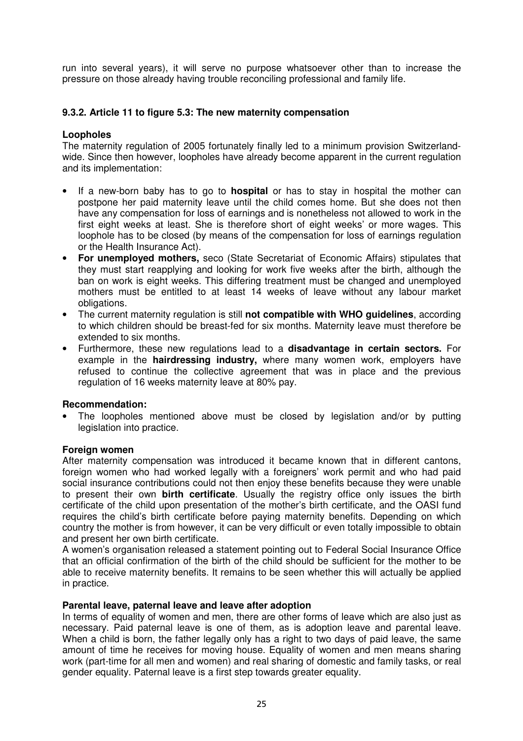run into several years), it will serve no purpose whatsoever other than to increase the pressure on those already having trouble reconciling professional and family life.

# **9.3.2. Article 11 to figure 5.3: The new maternity compensation**

#### **Loopholes**

The maternity regulation of 2005 fortunately finally led to a minimum provision Switzerlandwide. Since then however, loopholes have already become apparent in the current regulation and its implementation:

- If a new-born baby has to go to **hospital** or has to stay in hospital the mother can postpone her paid maternity leave until the child comes home. But she does not then have any compensation for loss of earnings and is nonetheless not allowed to work in the first eight weeks at least. She is therefore short of eight weeks' or more wages. This loophole has to be closed (by means of the compensation for loss of earnings regulation or the Health Insurance Act).
- **For unemployed mothers,** seco (State Secretariat of Economic Affairs) stipulates that they must start reapplying and looking for work five weeks after the birth, although the ban on work is eight weeks. This differing treatment must be changed and unemployed mothers must be entitled to at least 14 weeks of leave without any labour market obligations.
- The current maternity regulation is still **not compatible with WHO guidelines**, according to which children should be breast-fed for six months. Maternity leave must therefore be extended to six months.
- Furthermore, these new regulations lead to a **disadvantage in certain sectors.** For example in the **hairdressing industry,** where many women work, employers have refused to continue the collective agreement that was in place and the previous regulation of 16 weeks maternity leave at 80% pay.

#### **Recommendation:**

The loopholes mentioned above must be closed by legislation and/or by putting legislation into practice.

#### **Foreign women**

After maternity compensation was introduced it became known that in different cantons, foreign women who had worked legally with a foreigners' work permit and who had paid social insurance contributions could not then enjoy these benefits because they were unable to present their own **birth certificate**. Usually the registry office only issues the birth certificate of the child upon presentation of the mother's birth certificate, and the OASI fund requires the child's birth certificate before paying maternity benefits. Depending on which country the mother is from however, it can be very difficult or even totally impossible to obtain and present her own birth certificate.

A women's organisation released a statement pointing out to Federal Social Insurance Office that an official confirmation of the birth of the child should be sufficient for the mother to be able to receive maternity benefits. It remains to be seen whether this will actually be applied in practice.

#### **Parental leave, paternal leave and leave after adoption**

In terms of equality of women and men, there are other forms of leave which are also just as necessary. Paid paternal leave is one of them, as is adoption leave and parental leave. When a child is born, the father legally only has a right to two days of paid leave, the same amount of time he receives for moving house. Equality of women and men means sharing work (part-time for all men and women) and real sharing of domestic and family tasks, or real gender equality. Paternal leave is a first step towards greater equality.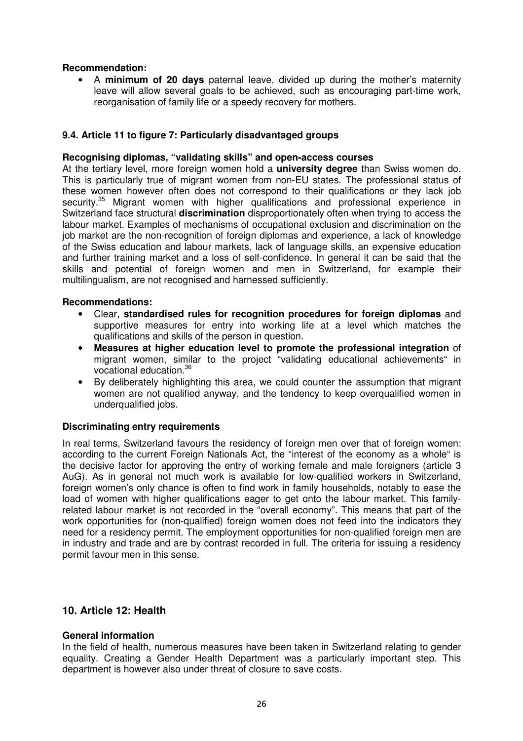#### **Recommendation:**

• A **minimum of 20 days** paternal leave, divided up during the mother's maternity leave will allow several goals to be achieved, such as encouraging part-time work, reorganisation of family life or a speedy recovery for mothers.

## **9.4. Article 11 to figure 7: Particularly disadvantaged groups**

#### **Recognising diplomas, "validating skills" and open-access courses**

At the tertiary level, more foreign women hold a **university degree** than Swiss women do. This is particularly true of migrant women from non-EU states. The professional status of these women however often does not correspond to their qualifications or they lack job security.<sup>35</sup> Migrant women with higher qualifications and professional experience in Switzerland face structural **discrimination** disproportionately often when trying to access the labour market. Examples of mechanisms of occupational exclusion and discrimination on the job market are the non-recognition of foreign diplomas and experience, a lack of knowledge of the Swiss education and labour markets, lack of language skills, an expensive education and further training market and a loss of self-confidence. In general it can be said that the skills and potential of foreign women and men in Switzerland, for example their multilingualism, are not recognised and harnessed sufficiently.

#### **Recommendations:**

- Clear, **standardised rules for recognition procedures for foreign diplomas** and supportive measures for entry into working life at a level which matches the qualifications and skills of the person in question.
- **Measures at higher education level to promote the professional integration** of migrant women, similar to the project "validating educational achievements" in vocational education. 36
- By deliberately highlighting this area, we could counter the assumption that migrant women are not qualified anyway, and the tendency to keep overqualified women in underqualified jobs.

#### **Discriminating entry requirements**

In real terms, Switzerland favours the residency of foreign men over that of foreign women: according to the current Foreign Nationals Act, the "interest of the economy as a whole" is the decisive factor for approving the entry of working female and male foreigners (article 3 AuG). As in general not much work is available for low-qualified workers in Switzerland, foreign women's only chance is often to find work in family households, notably to ease the load of women with higher qualifications eager to get onto the labour market. This familyrelated labour market is not recorded in the "overall economy". This means that part of the work opportunities for (non-qualified) foreign women does not feed into the indicators they need for a residency permit. The employment opportunities for non-qualified foreign men are in industry and trade and are by contrast recorded in full. The criteria for issuing a residency permit favour men in this sense.

#### **10. Article 12: Health**

#### **General information**

In the field of health, numerous measures have been taken in Switzerland relating to gender equality. Creating a Gender Health Department was a particularly important step. This department is however also under threat of closure to save costs.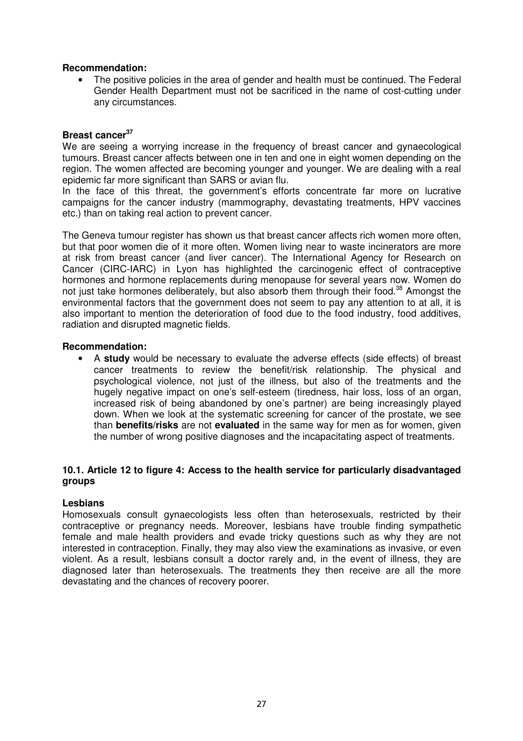#### **Recommendation:**

• The positive policies in the area of gender and health must be continued. The Federal Gender Health Department must not be sacrificed in the name of cost-cutting under any circumstances.

# **Breast cancer 37**

We are seeing a worrying increase in the frequency of breast cancer and gynaecological tumours. Breast cancer affects between one in ten and one in eight women depending on the region. The women affected are becoming younger and younger. We are dealing with a real epidemic far more significant than SARS or avian flu.

In the face of this threat, the government's efforts concentrate far more on lucrative campaigns for the cancer industry (mammography, devastating treatments, HPV vaccines etc.) than on taking real action to prevent cancer.

The Geneva tumour register has shown us that breast cancer affects rich women more often, but that poor women die of it more often. Women living near to waste incinerators are more at risk from breast cancer (and liver cancer). The International Agency for Research on Cancer (CIRC-IARC) in Lyon has highlighted the carcinogenic effect of contraceptive hormones and hormone replacements during menopause for several years now. Women do not just take hormones deliberately, but also absorb them through their food.<sup>38</sup> Amongst the environmental factors that the government does not seem to pay any attention to at all, it is also important to mention the deterioration of food due to the food industry, food additives, radiation and disrupted magnetic fields.

#### **Recommendation:**

• A **study** would be necessary to evaluate the adverse effects (side effects) of breast cancer treatments to review the benefit/risk relationship. The physical and psychological violence, not just of the illness, but also of the treatments and the hugely negative impact on one's self-esteem (tiredness, hair loss, loss of an organ, increased risk of being abandoned by one's partner) are being increasingly played down. When we look at the systematic screening for cancer of the prostate, we see than **benefits/risks** are not **evaluated** in the same way for men as for women, given the number of wrong positive diagnoses and the incapacitating aspect of treatments.

#### **10.1. Article 12 to figure 4: Access to the health service for particularly disadvantaged groups**

#### **Lesbians**

Homosexuals consult gynaecologists less often than heterosexuals, restricted by their contraceptive or pregnancy needs. Moreover, lesbians have trouble finding sympathetic female and male health providers and evade tricky questions such as why they are not interested in contraception. Finally, they may also view the examinations as invasive, or even violent. As a result, lesbians consult a doctor rarely and, in the event of illness, they are diagnosed later than heterosexuals. The treatments they then receive are all the more devastating and the chances of recovery poorer.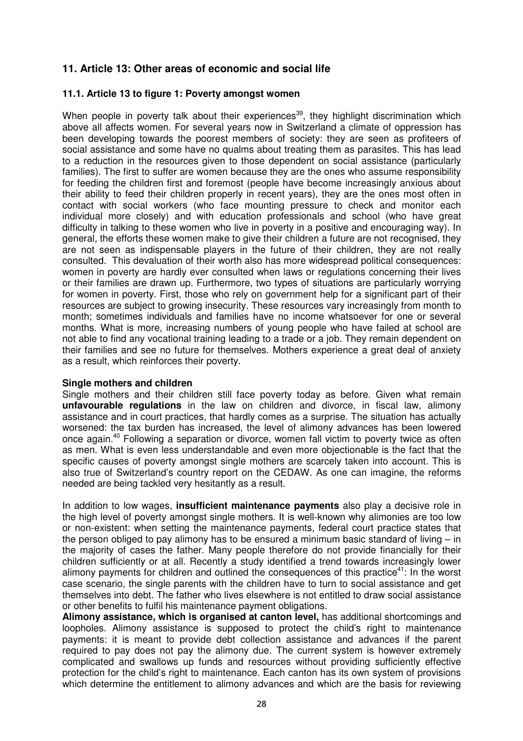# **11. Article 13: Other areas of economic and social life**

#### **11.1. Article 13 to figure 1: Poverty amongst women**

When people in poverty talk about their experiences<sup>39</sup>, they highlight discrimination which above all affects women. For several years now in Switzerland a climate of oppression has been developing towards the poorest members of society: they are seen as profiteers of social assistance and some have no qualms about treating them as parasites. This has lead to a reduction in the resources given to those dependent on social assistance (particularly families). The first to suffer are women because they are the ones who assume responsibility for feeding the children first and foremost (people have become increasingly anxious about their ability to feed their children properly in recent years), they are the ones most often in contact with social workers (who face mounting pressure to check and monitor each individual more closely) and with education professionals and school (who have great difficulty in talking to these women who live in poverty in a positive and encouraging way). In general, the efforts these women make to give their children a future are not recognised, they are not seen as indispensable players in the future of their children, they are not really consulted. This devaluation of their worth also has more widespread political consequences: women in poverty are hardly ever consulted when laws or regulations concerning their lives or their families are drawn up. Furthermore, two types of situations are particularly worrying for women in poverty. First, those who rely on government help for a significant part of their resources are subject to growing insecurity. These resources vary increasingly from month to month; sometimes individuals and families have no income whatsoever for one or several months. What is more, increasing numbers of young people who have failed at school are not able to find any vocational training leading to a trade or a job. They remain dependent on their families and see no future for themselves. Mothers experience a great deal of anxiety as a result, which reinforces their poverty.

#### **Single mothers and children**

Single mothers and their children still face poverty today as before. Given what remain **unfavourable regulations** in the law on children and divorce, in fiscal law, alimony assistance and in court practices, that hardly comes as a surprise. The situation has actually worsened: the tax burden has increased, the level of alimony advances has been lowered once again.<sup>40</sup> Following a separation or divorce, women fall victim to poverty twice as often as men. What is even less understandable and even more objectionable is the fact that the specific causes of poverty amongst single mothers are scarcely taken into account. This is also true of Switzerland's country report on the CEDAW. As one can imagine, the reforms needed are being tackled very hesitantly as a result.

In addition to low wages, **insufficient maintenance payments** also play a decisive role in the high level of poverty amongst single mothers. It is well-known why alimonies are too low or non-existent: when setting the maintenance payments, federal court practice states that the person obliged to pay alimony has to be ensured a minimum basic standard of living – in the majority of cases the father. Many people therefore do not provide financially for their children sufficiently or at all. Recently a study identified a trend towards increasingly lower alimony payments for children and outlined the consequences of this practice<sup>41</sup>: In the worst case scenario, the single parents with the children have to turn to social assistance and get themselves into debt. The father who lives elsewhere is not entitled to draw social assistance or other benefits to fulfil his maintenance payment obligations.

**Alimony assistance, which is organised at canton level,** has additional shortcomings and loopholes. Alimony assistance is supposed to protect the child's right to maintenance payments: it is meant to provide debt collection assistance and advances if the parent required to pay does not pay the alimony due. The current system is however extremely complicated and swallows up funds and resources without providing sufficiently effective protection for the child's right to maintenance. Each canton has its own system of provisions which determine the entitlement to alimony advances and which are the basis for reviewing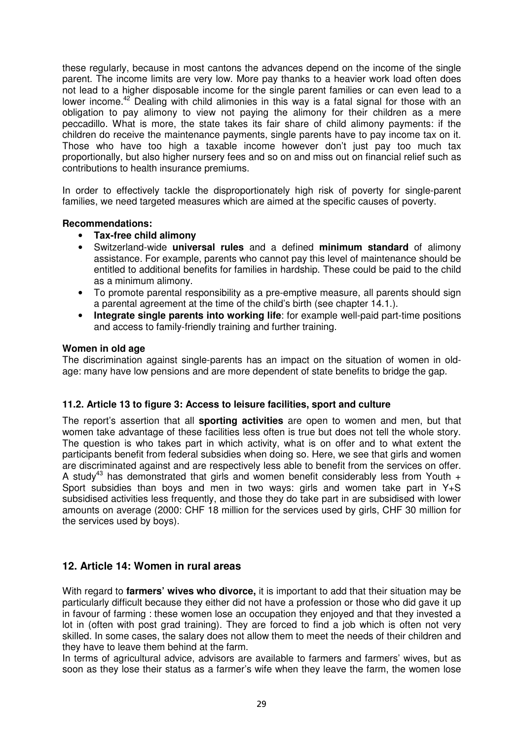these regularly, because in most cantons the advances depend on the income of the single parent. The income limits are very low. More pay thanks to a heavier work load often does not lead to a higher disposable income for the single parent families or can even lead to a lower income.<sup>42</sup> Dealing with child alimonies in this way is a fatal signal for those with an obligation to pay alimony to view not paying the alimony for their children as a mere peccadillo. What is more, the state takes its fair share of child alimony payments: if the children do receive the maintenance payments, single parents have to pay income tax on it. Those who have too high a taxable income however don't just pay too much tax proportionally, but also higher nursery fees and so on and miss out on financial relief such as contributions to health insurance premiums.

In order to effectively tackle the disproportionately high risk of poverty for single-parent families, we need targeted measures which are aimed at the specific causes of poverty.

#### **Recommendations:**

- **Tax-free child alimony**
- Switzerland-wide **universal rules** and a defined **minimum standard** of alimony assistance. For example, parents who cannot pay this level of maintenance should be entitled to additional benefits for families in hardship. These could be paid to the child as a minimum alimony.
- To promote parental responsibility as a pre-emptive measure, all parents should sign a parental agreement at the time of the child's birth (see chapter 14.1.).
- **Integrate single parents into working life**: for example well-paid part-time positions and access to family-friendly training and further training.

#### **Women in old age**

The discrimination against single-parents has an impact on the situation of women in oldage: many have low pensions and are more dependent of state benefits to bridge the gap.

#### **11.2. Article 13 to figure 3: Access to leisure facilities, sport and culture**

The report's assertion that all **sporting activities** are open to women and men, but that women take advantage of these facilities less often is true but does not tell the whole story. The question is who takes part in which activity, what is on offer and to what extent the participants benefit from federal subsidies when doing so. Here, we see that girls and women are discriminated against and are respectively less able to benefit from the services on offer. A study<sup>43</sup> has demonstrated that girls and women benefit considerably less from Youth  $+$ Sport subsidies than boys and men in two ways: girls and women take part in  $Y+S$ subsidised activities less frequently, and those they do take part in are subsidised with lower amounts on average (2000: CHF 18 million for the services used by girls, CHF 30 million for the services used by boys).

#### **12. Article 14: Women in rural areas**

With regard to **farmers' wives who divorce,** it is important to add that their situation may be particularly difficult because they either did not have a profession or those who did gave it up in favour of farming : these women lose an occupation they enjoyed and that they invested a lot in (often with post grad training). They are forced to find a job which is often not very skilled. In some cases, the salary does not allow them to meet the needs of their children and they have to leave them behind at the farm.

In terms of agricultural advice, advisors are available to farmers and farmers' wives, but as soon as they lose their status as a farmer's wife when they leave the farm, the women lose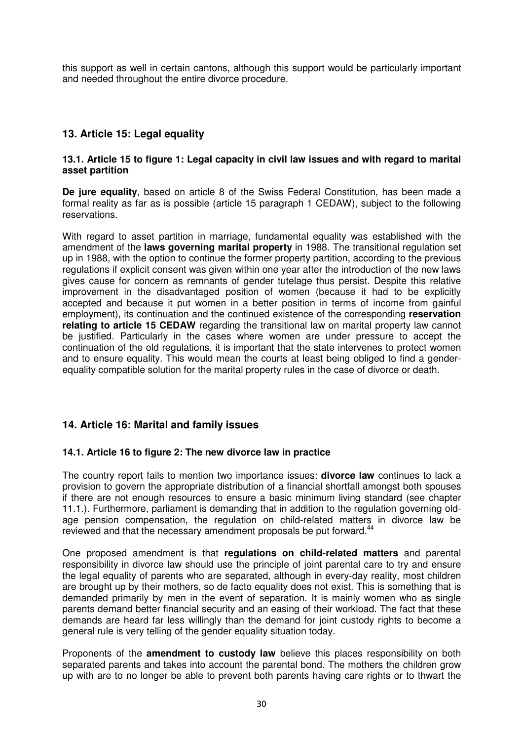this support as well in certain cantons, although this support would be particularly important and needed throughout the entire divorce procedure.

# **13. Article 15: Legal equality**

#### **13.1. Article 15 to figure 1: Legal capacity in civil law issues and with regard to marital asset partition**

**De jure equality**, based on article 8 of the Swiss Federal Constitution, has been made a formal reality as far as is possible (article 15 paragraph 1 CEDAW), subject to the following reservations.

With regard to asset partition in marriage, fundamental equality was established with the amendment of the **laws governing marital property** in 1988. The transitional regulation set up in 1988, with the option to continue the former property partition, according to the previous regulations if explicit consent was given within one year after the introduction of the new laws gives cause for concern as remnants of gender tutelage thus persist. Despite this relative improvement in the disadvantaged position of women (because it had to be explicitly accepted and because it put women in a better position in terms of income from gainful employment), its continuation and the continued existence of the corresponding **reservation relating to article 15 CEDAW** regarding the transitional law on marital property law cannot be justified. Particularly in the cases where women are under pressure to accept the continuation of the old regulations, it is important that the state intervenes to protect women and to ensure equality. This would mean the courts at least being obliged to find a genderequality compatible solution for the marital property rules in the case of divorce or death.

# **14. Article 16: Marital and family issues**

#### **14.1. Article 16 to figure 2: The new divorce law in practice**

The country report fails to mention two importance issues: **divorce law** continues to lack a provision to govern the appropriate distribution of a financial shortfall amongst both spouses if there are not enough resources to ensure a basic minimum living standard (see chapter 11.1.). Furthermore, parliament is demanding that in addition to the regulation governing oldage pension compensation, the regulation on child-related matters in divorce law be reviewed and that the necessary amendment proposals be put forward.<sup>44</sup>

One proposed amendment is that **regulations on child-related matters** and parental responsibility in divorce law should use the principle of joint parental care to try and ensure the legal equality of parents who are separated, although in every-day reality, most children are brought up by their mothers, so de facto equality does not exist. This is something that is demanded primarily by men in the event of separation. It is mainly women who as single parents demand better financial security and an easing of their workload. The fact that these demands are heard far less willingly than the demand for joint custody rights to become a general rule is very telling of the gender equality situation today.

Proponents of the **amendment to custody law** believe this places responsibility on both separated parents and takes into account the parental bond. The mothers the children grow up with are to no longer be able to prevent both parents having care rights or to thwart the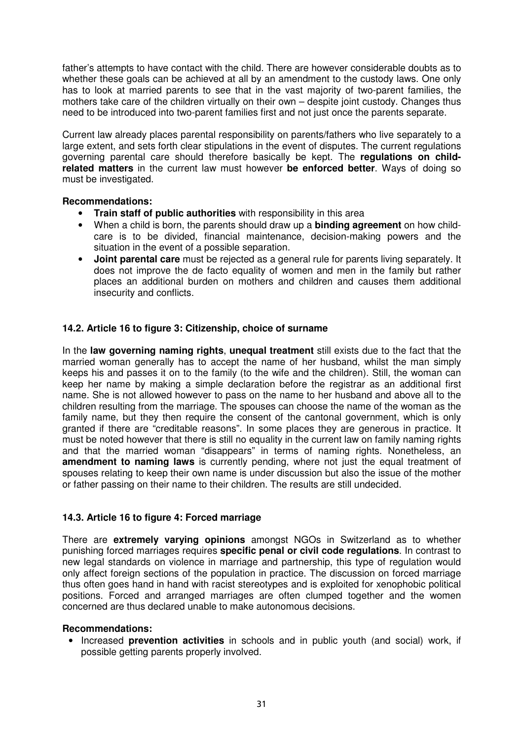father's attempts to have contact with the child. There are however considerable doubts as to whether these goals can be achieved at all by an amendment to the custody laws. One only has to look at married parents to see that in the vast majority of two-parent families, the mothers take care of the children virtually on their own – despite joint custody. Changes thus need to be introduced into two-parent families first and not just once the parents separate.

Current law already places parental responsibility on parents/fathers who live separately to a large extent, and sets forth clear stipulations in the event of disputes. The current regulations governing parental care should therefore basically be kept. The **regulations on childrelated matters** in the current law must however **be enforced better**. Ways of doing so must be investigated.

## **Recommendations:**

- **Train staff of public authorities** with responsibility in this area
- When a child is born, the parents should draw up a **binding agreement** on how childcare is to be divided, financial maintenance, decision-making powers and the situation in the event of a possible separation.
- **Joint parental care** must be rejected as a general rule for parents living separately. It does not improve the de facto equality of women and men in the family but rather places an additional burden on mothers and children and causes them additional insecurity and conflicts.

# **14.2. Article 16 to figure 3: Citizenship, choice of surname**

In the **law governing naming rights**, **unequal treatment** still exists due to the fact that the married woman generally has to accept the name of her husband, whilst the man simply keeps his and passes it on to the family (to the wife and the children). Still, the woman can keep her name by making a simple declaration before the registrar as an additional first name. She is not allowed however to pass on the name to her husband and above all to the children resulting from the marriage. The spouses can choose the name of the woman as the family name, but they then require the consent of the cantonal government, which is only granted if there are "creditable reasons". In some places they are generous in practice. It must be noted however that there is still no equality in the current law on family naming rights and that the married woman "disappears" in terms of naming rights. Nonetheless, an **amendment to naming laws** is currently pending, where not just the equal treatment of spouses relating to keep their own name is under discussion but also the issue of the mother or father passing on their name to their children. The results are still undecided.

#### **14.3. Article 16 to figure 4: Forced marriage**

There are **extremely varying opinions** amongst NGOs in Switzerland as to whether punishing forced marriages requires **specific penal or civil code regulations**. In contrast to new legal standards on violence in marriage and partnership, this type of regulation would only affect foreign sections of the population in practice. The discussion on forced marriage thus often goes hand in hand with racist stereotypes and is exploited for xenophobic political positions. Forced and arranged marriages are often clumped together and the women concerned are thus declared unable to make autonomous decisions.

#### **Recommendations:**

• Increased **prevention activities** in schools and in public youth (and social) work, if possible getting parents properly involved.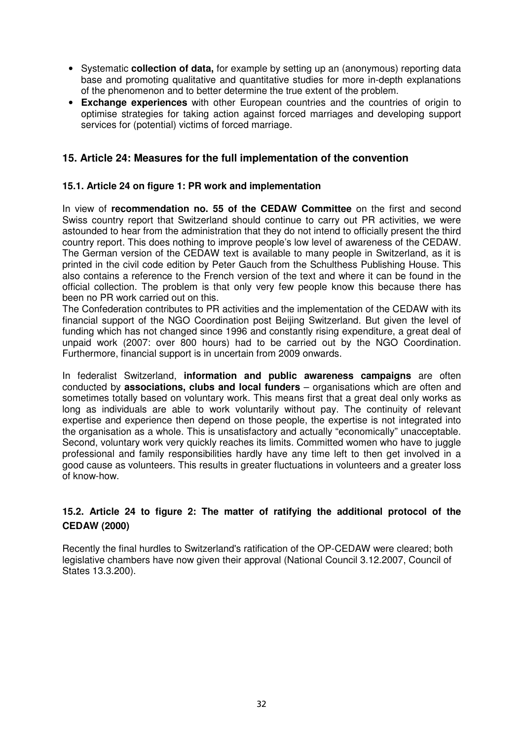- Systematic **collection of data,** for example by setting up an (anonymous) reporting data base and promoting qualitative and quantitative studies for more in-depth explanations of the phenomenon and to better determine the true extent of the problem.
- **Exchange experiences** with other European countries and the countries of origin to optimise strategies for taking action against forced marriages and developing support services for (potential) victims of forced marriage.

# **15. Article 24: Measures for the full implementation of the convention**

### **15.1. Article 24 on figure 1: PR work and implementation**

In view of **recommendation no. 55 of the CEDAW Committee** on the first and second Swiss country report that Switzerland should continue to carry out PR activities, we were astounded to hear from the administration that they do not intend to officially present the third country report. This does nothing to improve people's low level of awareness of the CEDAW. The German version of the CEDAW text is available to many people in Switzerland, as it is printed in the civil code edition by Peter Gauch from the Schulthess Publishing House. This also contains a reference to the French version of the text and where it can be found in the official collection. The problem is that only very few people know this because there has been no PR work carried out on this.

The Confederation contributes to PR activities and the implementation of the CEDAW with its financial support of the NGO Coordination post Beijing Switzerland. But given the level of funding which has not changed since 1996 and constantly rising expenditure, a great deal of unpaid work (2007: over 800 hours) had to be carried out by the NGO Coordination. Furthermore, financial support is in uncertain from 2009 onwards.

In federalist Switzerland, **information and public awareness campaigns** are often conducted by **associations, clubs and local funders** – organisations which are often and sometimes totally based on voluntary work. This means first that a great deal only works as long as individuals are able to work voluntarily without pay. The continuity of relevant expertise and experience then depend on those people, the expertise is not integrated into the organisation as a whole. This is unsatisfactory and actually "economically" unacceptable. Second, voluntary work very quickly reaches its limits. Committed women who have to juggle professional and family responsibilities hardly have any time left to then get involved in a good cause as volunteers. This results in greater fluctuations in volunteers and a greater loss of know-how.

# **15.2. Article 24 to figure 2: The matter of ratifying the additional protocol of the CEDAW (2000)**

Recently the final hurdles to Switzerland's ratification of the OP-CEDAW were cleared; both legislative chambers have now given their approval (National Council 3.12.2007, Council of States 13.3.200).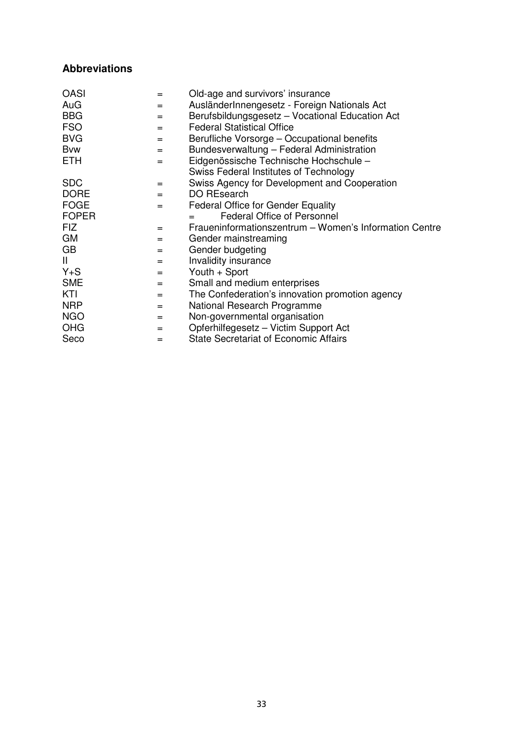# **Abbreviations**

| <b>OASI</b>  | =   | Old-age and survivors' insurance                       |
|--------------|-----|--------------------------------------------------------|
| AuG          | $=$ | AusländerInnengesetz - Foreign Nationals Act           |
| <b>BBG</b>   | $=$ | Berufsbildungsgesetz - Vocational Education Act        |
| <b>FSO</b>   | $=$ | <b>Federal Statistical Office</b>                      |
| <b>BVG</b>   | $=$ | Berufliche Vorsorge - Occupational benefits            |
| <b>B</b> vw  | $=$ | Bundesverwaltung - Federal Administration              |
| <b>ETH</b>   | $=$ | Eidgenössische Technische Hochschule -                 |
|              |     | Swiss Federal Institutes of Technology                 |
| <b>SDC</b>   | $=$ | Swiss Agency for Development and Cooperation           |
| <b>DORE</b>  | $=$ | DO REsearch                                            |
| <b>FOGE</b>  | $=$ | <b>Federal Office for Gender Equality</b>              |
| <b>FOPER</b> |     | <b>Federal Office of Personnel</b>                     |
| <b>FIZ</b>   | $=$ | Fraueninformationszentrum - Women's Information Centre |
| <b>GM</b>    | $=$ | Gender mainstreaming                                   |
| GB           | $=$ | Gender budgeting                                       |
| Ш            | $=$ | Invalidity insurance                                   |
| $Y + S$      | $=$ | Youth + Sport                                          |
| <b>SME</b>   | $=$ | Small and medium enterprises                           |
| KTI          | $=$ | The Confederation's innovation promotion agency        |
| <b>NRP</b>   | $=$ | National Research Programme                            |
| <b>NGO</b>   | $=$ | Non-governmental organisation                          |
| <b>OHG</b>   | $=$ | Opferhilfegesetz - Victim Support Act                  |
| Seco         | =   | <b>State Secretariat of Economic Affairs</b>           |
|              |     |                                                        |